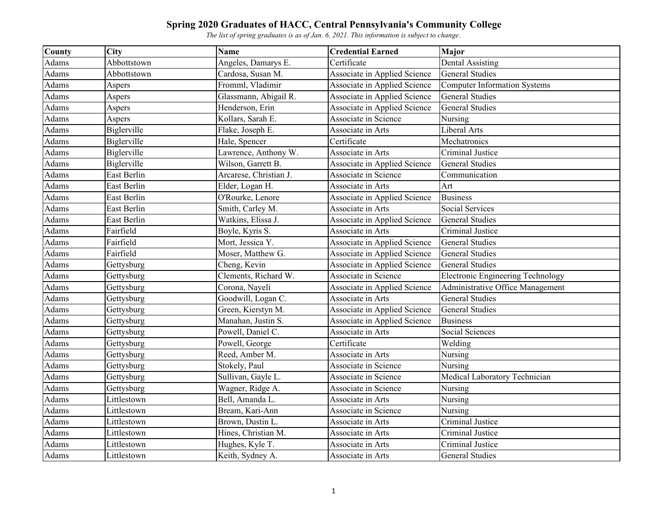| <b>County</b> | City        | <b>Name</b>            | <b>Credential Earned</b>     | Major                                    |
|---------------|-------------|------------------------|------------------------------|------------------------------------------|
| Adams         | Abbottstown | Angeles, Damarys E.    | Certificate                  | <b>Dental Assisting</b>                  |
| Adams         | Abbottstown | Cardosa, Susan M.      | Associate in Applied Science | <b>General Studies</b>                   |
| Adams         | Aspers      | Fromml, Vladimir       | Associate in Applied Science | <b>Computer Information Systems</b>      |
| Adams         | Aspers      | Glassmann, Abigail R.  | Associate in Applied Science | <b>General Studies</b>                   |
| Adams         | Aspers      | Henderson, Erin        | Associate in Applied Science | <b>General Studies</b>                   |
| Adams         | Aspers      | Kollars, Sarah E.      | Associate in Science         | Nursing                                  |
| Adams         | Biglerville | Flake, Joseph E.       | Associate in Arts            | Liberal Arts                             |
| Adams         | Biglerville | Hale, Spencer          | Certificate                  | Mechatronics                             |
| Adams         | Biglerville | Lawrence, Anthony W.   | Associate in Arts            | Criminal Justice                         |
| Adams         | Biglerville | Wilson, Garrett B.     | Associate in Applied Science | <b>General Studies</b>                   |
| Adams         | East Berlin | Arcarese, Christian J. | Associate in Science         | Communication                            |
| Adams         | East Berlin | Elder, Logan H.        | Associate in Arts            | Art                                      |
| Adams         | East Berlin | O'Rourke, Lenore       | Associate in Applied Science | <b>Business</b>                          |
| Adams         | East Berlin | Smith, Carley M.       | Associate in Arts            | Social Services                          |
| Adams         | East Berlin | Watkins, Elissa J.     | Associate in Applied Science | <b>General Studies</b>                   |
| Adams         | Fairfield   | Boyle, Kyris S.        | Associate in Arts            | Criminal Justice                         |
| Adams         | Fairfield   | Mort, Jessica Y.       | Associate in Applied Science | <b>General Studies</b>                   |
| Adams         | Fairfield   | Moser, Matthew G.      | Associate in Applied Science | <b>General Studies</b>                   |
| Adams         | Gettysburg  | Cheng, Kevin           | Associate in Applied Science | <b>General Studies</b>                   |
| Adams         | Gettysburg  | Clements, Richard W.   | Associate in Science         | <b>Electronic Engineering Technology</b> |
| Adams         | Gettysburg  | Corona, Nayeli         | Associate in Applied Science | Administrative Office Management         |
| Adams         | Gettysburg  | Goodwill, Logan C.     | Associate in Arts            | <b>General Studies</b>                   |
| Adams         | Gettysburg  | Green, Kierstyn M.     | Associate in Applied Science | <b>General Studies</b>                   |
| Adams         | Gettysburg  | Manahan, Justin S.     | Associate in Applied Science | <b>Business</b>                          |
| Adams         | Gettysburg  | Powell, Daniel C.      | Associate in Arts            | Social Sciences                          |
| Adams         | Gettysburg  | Powell, George         | Certificate                  | Welding                                  |
| Adams         | Gettysburg  | Reed, Amber M.         | Associate in Arts            | Nursing                                  |
| Adams         | Gettysburg  | Stokely, Paul          | Associate in Science         | Nursing                                  |
| Adams         | Gettysburg  | Sullivan, Gayle L.     | Associate in Science         | Medical Laboratory Technician            |
| Adams         | Gettysburg  | Wagner, Ridge A.       | Associate in Science         | Nursing                                  |
| Adams         | Littlestown | Bell, Amanda L.        | Associate in Arts            | Nursing                                  |
| Adams         | Littlestown | Bream, Kari-Ann        | Associate in Science         | Nursing                                  |
| Adams         | Littlestown | Brown, Dustin L.       | Associate in Arts            | Criminal Justice                         |
| Adams         | Littlestown | Hines, Christian M.    | Associate in Arts            | Criminal Justice                         |
| Adams         | Littlestown | Hughes, Kyle T.        | Associate in Arts            | Criminal Justice                         |
| Adams         | Littlestown | Keith, Sydney A.       | Associate in Arts            | <b>General Studies</b>                   |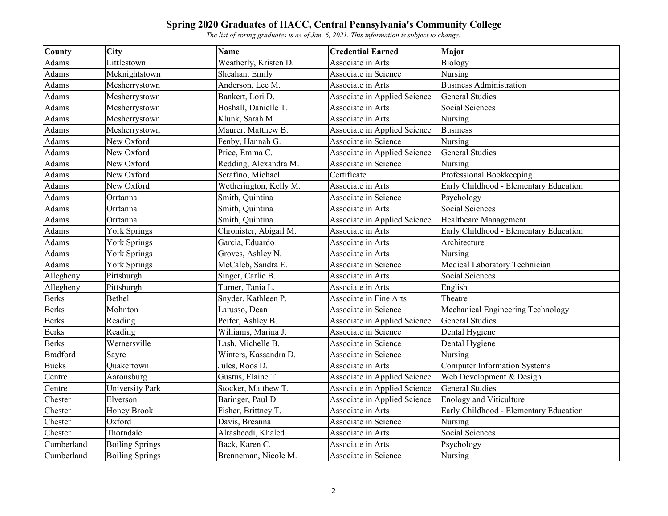| <b>County</b>   | City                   | <b>Name</b>            | <b>Credential Earned</b>     | <b>Major</b>                           |
|-----------------|------------------------|------------------------|------------------------------|----------------------------------------|
| Adams           | Littlestown            | Weatherly, Kristen D.  | Associate in Arts            | Biology                                |
| Adams           | Mcknightstown          | Sheahan, Emily         | Associate in Science         | Nursing                                |
| Adams           | Mcsherrystown          | Anderson, Lee M.       | Associate in Arts            | <b>Business Administration</b>         |
| Adams           | Mcsherrystown          | Bankert, Lori D.       | Associate in Applied Science | <b>General Studies</b>                 |
| Adams           | Mcsherrystown          | Hoshall, Danielle T.   | Associate in Arts            | Social Sciences                        |
| Adams           | Mcsherrystown          | Klunk, Sarah M.        | Associate in Arts            | Nursing                                |
| Adams           | Mcsherrystown          | Maurer, Matthew B.     | Associate in Applied Science | <b>Business</b>                        |
| Adams           | New Oxford             | Fenby, Hannah G.       | Associate in Science         | Nursing                                |
| Adams           | New Oxford             | Price, Emma C.         | Associate in Applied Science | <b>General Studies</b>                 |
| Adams           | New Oxford             | Redding, Alexandra M.  | Associate in Science         | Nursing                                |
| Adams           | New Oxford             | Serafino, Michael      | Certificate                  | Professional Bookkeeping               |
| Adams           | New Oxford             | Wetherington, Kelly M. | Associate in Arts            | Early Childhood - Elementary Education |
| Adams           | Orrtanna               | Smith, Quintina        | Associate in Science         | Psychology                             |
| Adams           | Orrtanna               | Smith, Quintina        | Associate in Arts            | Social Sciences                        |
| Adams           | Orrtanna               | Smith, Quintina        | Associate in Applied Science | Healthcare Management                  |
| Adams           | <b>York Springs</b>    | Chronister, Abigail M. | Associate in Arts            | Early Childhood - Elementary Education |
| Adams           | York Springs           | Garcia, Eduardo        | Associate in Arts            | Architecture                           |
| Adams           | York Springs           | Groves, Ashley N.      | Associate in Arts            | Nursing                                |
| Adams           | York Springs           | McCaleb, Sandra E.     | Associate in Science         | Medical Laboratory Technician          |
| Allegheny       | Pittsburgh             | Singer, Carlie B.      | Associate in Arts            | Social Sciences                        |
| Allegheny       | Pittsburgh             | Turner, Tania L.       | Associate in Arts            | English                                |
| <b>Berks</b>    | Bethel                 | Snyder, Kathleen P.    | Associate in Fine Arts       | Theatre                                |
| <b>Berks</b>    | Mohnton                | Larusso, Dean          | Associate in Science         | Mechanical Engineering Technology      |
| <b>Berks</b>    | Reading                | Peifer, Ashley B.      | Associate in Applied Science | <b>General Studies</b>                 |
| <b>Berks</b>    | Reading                | Williams, Marina J.    | Associate in Science         | Dental Hygiene                         |
| <b>Berks</b>    | Wernersville           | Lash, Michelle B.      | Associate in Science         | Dental Hygiene                         |
| <b>Bradford</b> | Sayre                  | Winters, Kassandra D.  | Associate in Science         | Nursing                                |
| <b>Bucks</b>    | Quakertown             | Jules, Roos D.         | Associate in Arts            | <b>Computer Information Systems</b>    |
| Centre          | Aaronsburg             | Gustus, Elaine T.      | Associate in Applied Science | Web Development & Design               |
| Centre          | <b>University Park</b> | Stocker, Matthew T.    | Associate in Applied Science | <b>General Studies</b>                 |
| Chester         | Elverson               | Baringer, Paul D.      | Associate in Applied Science | <b>Enology and Viticulture</b>         |
| Chester         | Honey Brook            | Fisher, Brittney T.    | Associate in Arts            | Early Childhood - Elementary Education |
| Chester         | Oxford                 | Davis, Breanna         | Associate in Science         | Nursing                                |
| Chester         | Thorndale              | Alrasheedi, Khaled     | Associate in Arts            | Social Sciences                        |
| Cumberland      | <b>Boiling Springs</b> | Back, Karen C.         | Associate in Arts            | Psychology                             |
| Cumberland      | <b>Boiling Springs</b> | Brenneman, Nicole M.   | Associate in Science         | Nursing                                |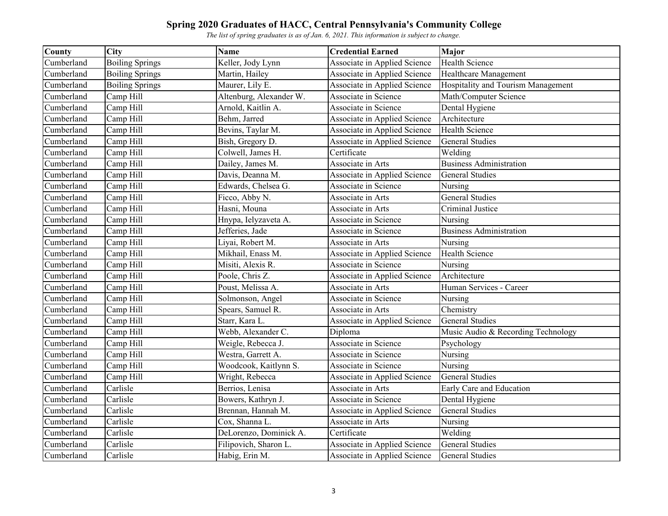| <b>County</b> | City                   | <b>Name</b>             | <b>Credential Earned</b>     | <b>Major</b>                       |
|---------------|------------------------|-------------------------|------------------------------|------------------------------------|
| Cumberland    | <b>Boiling Springs</b> | Keller, Jody Lynn       | Associate in Applied Science | <b>Health Science</b>              |
| Cumberland    | <b>Boiling Springs</b> | Martin, Hailey          | Associate in Applied Science | Healthcare Management              |
| Cumberland    | <b>Boiling Springs</b> | Maurer, Lily E.         | Associate in Applied Science | Hospitality and Tourism Management |
| Cumberland    | Camp Hill              | Altenburg, Alexander W. | Associate in Science         | Math/Computer Science              |
| Cumberland    | Camp Hill              | Arnold, Kaitlin A.      | Associate in Science         | Dental Hygiene                     |
| Cumberland    | Camp Hill              | Behm, Jarred            | Associate in Applied Science | Architecture                       |
| Cumberland    | Camp Hill              | Bevins, Taylar M.       | Associate in Applied Science | <b>Health Science</b>              |
| Cumberland    | Camp Hill              | Bish, Gregory D.        | Associate in Applied Science | <b>General Studies</b>             |
| Cumberland    | Camp Hill              | Colwell, James H.       | Certificate                  | Welding                            |
| Cumberland    | Camp Hill              | Dailey, James M.        | Associate in Arts            | <b>Business Administration</b>     |
| Cumberland    | Camp Hill              | Davis, Deanna M.        | Associate in Applied Science | <b>General Studies</b>             |
| Cumberland    | Camp Hill              | Edwards, Chelsea G.     | Associate in Science         | Nursing                            |
| Cumberland    | Camp Hill              | Ficco, Abby N.          | Associate in Arts            | <b>General Studies</b>             |
| Cumberland    | Camp Hill              | Hasni, Mouna            | Associate in Arts            | Criminal Justice                   |
| Cumberland    | Camp Hill              | Hnypa, Ielyzaveta A.    | Associate in Science         | Nursing                            |
| Cumberland    | Camp Hill              | Jefferies, Jade         | Associate in Science         | <b>Business Administration</b>     |
| Cumberland    | Camp Hill              | Liyai, Robert M.        | Associate in Arts            | Nursing                            |
| Cumberland    | Camp Hill              | Mikhail, Enass M.       | Associate in Applied Science | Health Science                     |
| Cumberland    | Camp Hill              | Misiti, Alexis R.       | Associate in Science         | Nursing                            |
| Cumberland    | Camp Hill              | Poole, Chris Z.         | Associate in Applied Science | Architecture                       |
| Cumberland    | Camp Hill              | Poust, Melissa A.       | Associate in Arts            | Human Services - Career            |
| Cumberland    | Camp Hill              | Solmonson, Angel        | Associate in Science         | Nursing                            |
| Cumberland    | Camp Hill              | Spears, Samuel R.       | Associate in Arts            | Chemistry                          |
| Cumberland    | Camp Hill              | Starr, Kara L.          | Associate in Applied Science | <b>General Studies</b>             |
| Cumberland    | Camp Hill              | Webb, Alexander C.      | Diploma                      | Music Audio & Recording Technology |
| Cumberland    | Camp Hill              | Weigle, Rebecca J.      | Associate in Science         | Psychology                         |
| Cumberland    | Camp Hill              | Westra, Garrett A.      | Associate in Science         | Nursing                            |
| Cumberland    | Camp Hill              | Woodcook, Kaitlynn S.   | Associate in Science         | Nursing                            |
| Cumberland    | Camp Hill              | Wright, Rebecca         | Associate in Applied Science | <b>General Studies</b>             |
| Cumberland    | Carlisle               | Berrios, Lenisa         | Associate in Arts            | Early Care and Education           |
| Cumberland    | Carlisle               | Bowers, Kathryn J.      | Associate in Science         | Dental Hygiene                     |
| Cumberland    | Carlisle               | Brennan, Hannah M.      | Associate in Applied Science | <b>General Studies</b>             |
| Cumberland    | Carlisle               | Cox, Shanna L.          | Associate in Arts            | Nursing                            |
| Cumberland    | Carlisle               | DeLorenzo, Dominick A.  | Certificate                  | Welding                            |
| Cumberland    | Carlisle               | Filipovich, Sharon L.   | Associate in Applied Science | <b>General Studies</b>             |
| Cumberland    | Carlisle               | Habig, Erin M.          | Associate in Applied Science | <b>General Studies</b>             |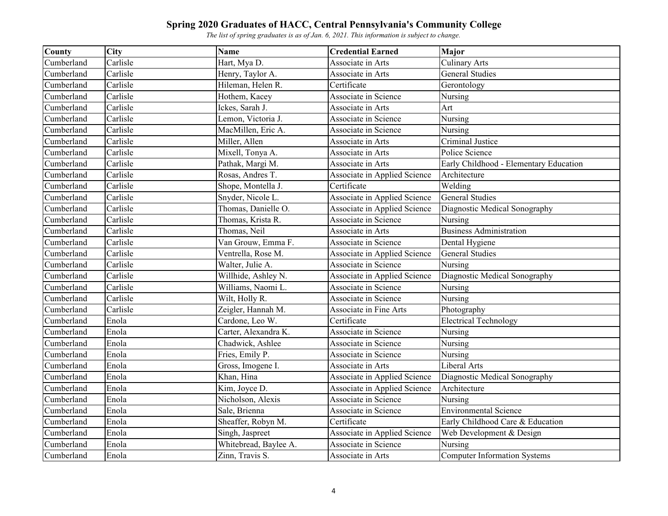| County     | <b>City</b> | <b>Name</b>           | <b>Credential Earned</b>     | Major                                  |
|------------|-------------|-----------------------|------------------------------|----------------------------------------|
| Cumberland | Carlisle    | Hart, Mya D.          | Associate in Arts            | <b>Culinary Arts</b>                   |
| Cumberland | Carlisle    | Henry, Taylor A.      | Associate in Arts            | <b>General Studies</b>                 |
| Cumberland | Carlisle    | Hileman, Helen R.     | Certificate                  | Gerontology                            |
| Cumberland | Carlisle    | Hothem, Kacey         | Associate in Science         | Nursing                                |
| Cumberland | Carlisle    | Ickes, Sarah J.       | Associate in Arts            | Art                                    |
| Cumberland | Carlisle    | Lemon, Victoria J.    | Associate in Science         | Nursing                                |
| Cumberland | Carlisle    | MacMillen, Eric A.    | Associate in Science         | Nursing                                |
| Cumberland | Carlisle    | Miller, Allen         | Associate in Arts            | Criminal Justice                       |
| Cumberland | Carlisle    | Mixell, Tonya A.      | Associate in Arts            | Police Science                         |
| Cumberland | Carlisle    | Pathak, Margi M.      | Associate in Arts            | Early Childhood - Elementary Education |
| Cumberland | Carlisle    | Rosas, Andres T.      | Associate in Applied Science | Architecture                           |
| Cumberland | Carlisle    | Shope, Montella J.    | Certificate                  | Welding                                |
| Cumberland | Carlisle    | Snyder, Nicole L.     | Associate in Applied Science | <b>General Studies</b>                 |
| Cumberland | Carlisle    | Thomas, Danielle O.   | Associate in Applied Science | Diagnostic Medical Sonography          |
| Cumberland | Carlisle    | Thomas, Krista R.     | Associate in Science         | Nursing                                |
| Cumberland | Carlisle    | Thomas, Neil          | Associate in Arts            | <b>Business Administration</b>         |
| Cumberland | Carlisle    | Van Grouw, Emma F.    | Associate in Science         | Dental Hygiene                         |
| Cumberland | Carlisle    | Ventrella, Rose M.    | Associate in Applied Science | <b>General Studies</b>                 |
| Cumberland | Carlisle    | Walter, Julie A.      | Associate in Science         | Nursing                                |
| Cumberland | Carlisle    | Willhide, Ashley N.   | Associate in Applied Science | Diagnostic Medical Sonography          |
| Cumberland | Carlisle    | Williams, Naomi L.    | Associate in Science         | Nursing                                |
| Cumberland | Carlisle    | Wilt, Holly R.        | Associate in Science         | Nursing                                |
| Cumberland | Carlisle    | Zeigler, Hannah M.    | Associate in Fine Arts       | Photography                            |
| Cumberland | Enola       | Cardone, Leo W.       | Certificate                  | <b>Electrical Technology</b>           |
| Cumberland | Enola       | Carter, Alexandra K.  | Associate in Science         | Nursing                                |
| Cumberland | Enola       | Chadwick, Ashlee      | Associate in Science         | Nursing                                |
| Cumberland | Enola       | Fries, Emily P.       | Associate in Science         | Nursing                                |
| Cumberland | Enola       | Gross, Imogene I.     | Associate in Arts            | <b>Liberal Arts</b>                    |
| Cumberland | Enola       | Khan, Hina            | Associate in Applied Science | Diagnostic Medical Sonography          |
| Cumberland | Enola       | Kim, Joyce D.         | Associate in Applied Science | Architecture                           |
| Cumberland | Enola       | Nicholson, Alexis     | Associate in Science         | Nursing                                |
| Cumberland | Enola       | Sale, Brienna         | Associate in Science         | <b>Environmental Science</b>           |
| Cumberland | Enola       | Sheaffer, Robyn M.    | Certificate                  | Early Childhood Care & Education       |
| Cumberland | Enola       | Singh, Jaspreet       | Associate in Applied Science | Web Development & Design               |
| Cumberland | Enola       | Whitebread, Baylee A. | Associate in Science         | Nursing                                |
| Cumberland | Enola       | Zinn, Travis S.       | Associate in Arts            | <b>Computer Information Systems</b>    |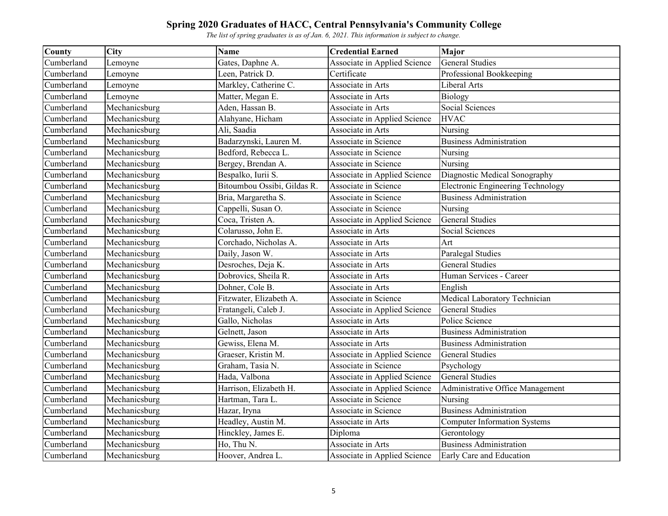| County     | City          | <b>Name</b>                 | <b>Credential Earned</b>     | <b>Major</b>                             |
|------------|---------------|-----------------------------|------------------------------|------------------------------------------|
| Cumberland | Lemoyne       | Gates, Daphne A.            | Associate in Applied Science | <b>General Studies</b>                   |
| Cumberland | Lemoyne       | Leen, Patrick D.            | Certificate                  | Professional Bookkeeping                 |
| Cumberland | Lemoyne       | Markley, Catherine C.       | Associate in Arts            | Liberal Arts                             |
| Cumberland | Lemoyne       | Matter, Megan E.            | Associate in Arts            | Biology                                  |
| Cumberland | Mechanicsburg | Aden, Hassan B.             | Associate in Arts            | Social Sciences                          |
| Cumberland | Mechanicsburg | Alahyane, Hicham            | Associate in Applied Science | <b>HVAC</b>                              |
| Cumberland | Mechanicsburg | Ali, Saadia                 | Associate in Arts            | Nursing                                  |
| Cumberland | Mechanicsburg | Badarzynski, Lauren M.      | Associate in Science         | <b>Business Administration</b>           |
| Cumberland | Mechanicsburg | Bedford, Rebecca L.         | Associate in Science         | Nursing                                  |
| Cumberland | Mechanicsburg | Bergey, Brendan A.          | Associate in Science         | Nursing                                  |
| Cumberland | Mechanicsburg | Bespalko, Iurii S.          | Associate in Applied Science | Diagnostic Medical Sonography            |
| Cumberland | Mechanicsburg | Bitoumbou Ossibi, Gildas R. | Associate in Science         | <b>Electronic Engineering Technology</b> |
| Cumberland | Mechanicsburg | Bria, Margaretha S.         | Associate in Science         | <b>Business Administration</b>           |
| Cumberland | Mechanicsburg | Cappelli, Susan O.          | Associate in Science         | Nursing                                  |
| Cumberland | Mechanicsburg | Coca, Tristen A.            | Associate in Applied Science | <b>General Studies</b>                   |
| Cumberland | Mechanicsburg | Colarusso, John E.          | Associate in Arts            | Social Sciences                          |
| Cumberland | Mechanicsburg | Corchado, Nicholas A.       | Associate in Arts            | Art                                      |
| Cumberland | Mechanicsburg | Daily, Jason W.             | Associate in Arts            | Paralegal Studies                        |
| Cumberland | Mechanicsburg | Desroches, Deja K.          | Associate in Arts            | <b>General Studies</b>                   |
| Cumberland | Mechanicsburg | Dobrovics, Sheila R.        | Associate in Arts            | Human Services - Career                  |
| Cumberland | Mechanicsburg | Dohner, Cole B.             | Associate in Arts            | English                                  |
| Cumberland | Mechanicsburg | Fitzwater, Elizabeth A.     | Associate in Science         | Medical Laboratory Technician            |
| Cumberland | Mechanicsburg | Fratangeli, Caleb J.        | Associate in Applied Science | <b>General Studies</b>                   |
| Cumberland | Mechanicsburg | Gallo, Nicholas             | Associate in Arts            | Police Science                           |
| Cumberland | Mechanicsburg | Gelnett, Jason              | Associate in Arts            | <b>Business Administration</b>           |
| Cumberland | Mechanicsburg | Gewiss, Elena M.            | Associate in Arts            | <b>Business Administration</b>           |
| Cumberland | Mechanicsburg | Graeser, Kristin M.         | Associate in Applied Science | <b>General Studies</b>                   |
| Cumberland | Mechanicsburg | Graham, Tasia N.            | Associate in Science         | Psychology                               |
| Cumberland | Mechanicsburg | Hada, Valbona               | Associate in Applied Science | <b>General Studies</b>                   |
| Cumberland | Mechanicsburg | Harrison, Elizabeth H.      | Associate in Applied Science | Administrative Office Management         |
| Cumberland | Mechanicsburg | Hartman, Tara L.            | Associate in Science         | Nursing                                  |
| Cumberland | Mechanicsburg | Hazar, Iryna                | Associate in Science         | <b>Business Administration</b>           |
| Cumberland | Mechanicsburg | Headley, Austin M.          | Associate in Arts            | <b>Computer Information Systems</b>      |
| Cumberland | Mechanicsburg | Hinckley, James E.          | Diploma                      | Gerontology                              |
| Cumberland | Mechanicsburg | Ho, Thu N.                  | Associate in Arts            | <b>Business Administration</b>           |
| Cumberland | Mechanicsburg | Hoover, Andrea L.           | Associate in Applied Science | Early Care and Education                 |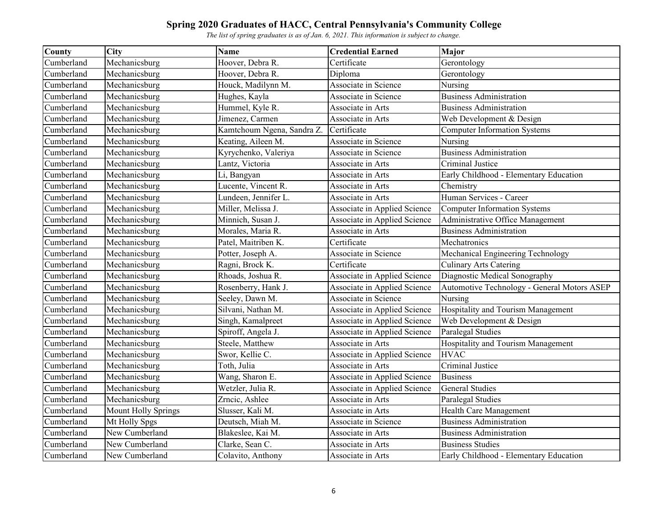| County     | City                       | <b>Name</b>                | <b>Credential Earned</b>     | <b>Major</b>                                |
|------------|----------------------------|----------------------------|------------------------------|---------------------------------------------|
| Cumberland | Mechanicsburg              | Hoover, Debra R.           | Certificate                  | Gerontology                                 |
| Cumberland | Mechanicsburg              | Hoover, Debra R.           | Diploma                      | Gerontology                                 |
| Cumberland | Mechanicsburg              | Houck, Madilynn M.         | Associate in Science         | Nursing                                     |
| Cumberland | Mechanicsburg              | Hughes, Kayla              | Associate in Science         | <b>Business Administration</b>              |
| Cumberland | Mechanicsburg              | Hummel, Kyle R.            | Associate in Arts            | <b>Business Administration</b>              |
| Cumberland | Mechanicsburg              | Jimenez, Carmen            | Associate in Arts            | Web Development & Design                    |
| Cumberland | Mechanicsburg              | Kamtchoum Ngena, Sandra Z. | Certificate                  | <b>Computer Information Systems</b>         |
| Cumberland | Mechanicsburg              | Keating, Aileen M.         | Associate in Science         | Nursing                                     |
| Cumberland | $M$ echanicsburg           | Kyrychenko, Valeriya       | Associate in Science         | <b>Business Administration</b>              |
| Cumberland | Mechanicsburg              | Lantz, Victoria            | Associate in Arts            | Criminal Justice                            |
| Cumberland | Mechanicsburg              | Li, Bangyan                | Associate in Arts            | Early Childhood - Elementary Education      |
| Cumberland | Mechanicsburg              | Lucente, Vincent R.        | Associate in Arts            | Chemistry                                   |
| Cumberland | Mechanicsburg              | Lundeen, Jennifer L.       | Associate in Arts            | Human Services - Career                     |
| Cumberland | Mechanicsburg              | Miller, Melissa J.         | Associate in Applied Science | <b>Computer Information Systems</b>         |
| Cumberland | Mechanicsburg              | Minnich, Susan J.          | Associate in Applied Science | Administrative Office Management            |
| Cumberland | Mechanicsburg              | Morales, Maria R.          | Associate in Arts            | <b>Business Administration</b>              |
| Cumberland | Mechanicsburg              | Patel, Maitriben K.        | Certificate                  | Mechatronics                                |
| Cumberland | Mechanicsburg              | Potter, Joseph A.          | Associate in Science         | Mechanical Engineering Technology           |
| Cumberland | Mechanicsburg              | Ragni, Brock K.            | Certificate                  | <b>Culinary Arts Catering</b>               |
| Cumberland | Mechanicsburg              | Rhoads, Joshua R.          | Associate in Applied Science | Diagnostic Medical Sonography               |
| Cumberland | Mechanicsburg              | Rosenberry, Hank J.        | Associate in Applied Science | Automotive Technology - General Motors ASEP |
| Cumberland | Mechanicsburg              | Seeley, Dawn M.            | Associate in Science         | Nursing                                     |
| Cumberland | Mechanicsburg              | Silvani, Nathan M.         | Associate in Applied Science | Hospitality and Tourism Management          |
| Cumberland | Mechanicsburg              | Singh, Kamalpreet          | Associate in Applied Science | Web Development & Design                    |
| Cumberland | Mechanicsburg              | Spiroff, Angela J.         | Associate in Applied Science | Paralegal Studies                           |
| Cumberland | Mechanicsburg              | Steele, Matthew            | Associate in Arts            | Hospitality and Tourism Management          |
| Cumberland | Mechanicsburg              | Swor, Kellie C.            | Associate in Applied Science | <b>HVAC</b>                                 |
| Cumberland | Mechanicsburg              | Toth, Julia                | Associate in Arts            | Criminal Justice                            |
| Cumberland | Mechanicsburg              | Wang, Sharon E.            | Associate in Applied Science | <b>Business</b>                             |
| Cumberland | Mechanicsburg              | Wetzler, Julia R.          | Associate in Applied Science | <b>General Studies</b>                      |
| Cumberland | Mechanicsburg              | Zrncic, Ashlee             | Associate in Arts            | Paralegal Studies                           |
| Cumberland | <b>Mount Holly Springs</b> | Slusser, Kali M.           | Associate in Arts            | Health Care Management                      |
| Cumberland | Mt Holly Spgs              | Deutsch, Miah M.           | Associate in Science         | <b>Business Administration</b>              |
| Cumberland | New Cumberland             | Blakeslee, Kai M.          | Associate in Arts            | <b>Business Administration</b>              |
| Cumberland | New Cumberland             | Clarke, Sean C.            | Associate in Arts            | <b>Business Studies</b>                     |
| Cumberland | New Cumberland             | Colavito, Anthony          | Associate in Arts            | Early Childhood - Elementary Education      |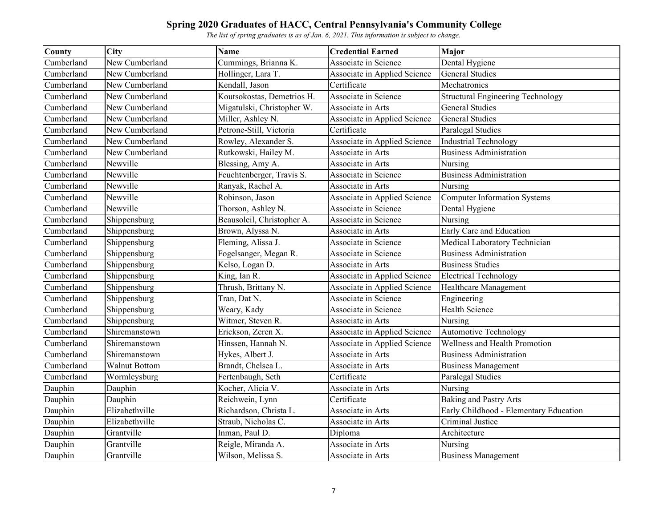| <b>County</b> | <b>City</b>          | <b>Name</b>                | <b>Credential Earned</b>     | Major                                    |
|---------------|----------------------|----------------------------|------------------------------|------------------------------------------|
| Cumberland    | New Cumberland       | Cummings, Brianna K.       | Associate in Science         | Dental Hygiene                           |
| Cumberland    | New Cumberland       | Hollinger, Lara T.         | Associate in Applied Science | <b>General Studies</b>                   |
| Cumberland    | New Cumberland       | Kendall, Jason             | Certificate                  | Mechatronics                             |
| Cumberland    | New Cumberland       | Koutsokostas, Demetrios H. | Associate in Science         | <b>Structural Engineering Technology</b> |
| Cumberland    | New Cumberland       | Migatulski, Christopher W. | Associate in Arts            | <b>General Studies</b>                   |
| Cumberland    | New Cumberland       | Miller, Ashley N.          | Associate in Applied Science | <b>General Studies</b>                   |
| Cumberland    | New Cumberland       | Petrone-Still, Victoria    | Certificate                  | Paralegal Studies                        |
| Cumberland    | New Cumberland       | Rowley, Alexander S.       | Associate in Applied Science | <b>Industrial Technology</b>             |
| Cumberland    | New Cumberland       | Rutkowski, Hailey M.       | Associate in Arts            | <b>Business Administration</b>           |
| Cumberland    | Newville             | Blessing, Amy A.           | Associate in Arts            | Nursing                                  |
| Cumberland    | Newville             | Feuchtenberger, Travis S.  | Associate in Science         | <b>Business Administration</b>           |
| Cumberland    | Newville             | Ranyak, Rachel A.          | Associate in Arts            | Nursing                                  |
| Cumberland    | Newville             | Robinson, Jason            | Associate in Applied Science | <b>Computer Information Systems</b>      |
| Cumberland    | Newville             | Thorson, Ashley N.         | Associate in Science         | Dental Hygiene                           |
| Cumberland    | Shippensburg         | Beausoleil, Christopher A. | Associate in Science         | Nursing                                  |
| Cumberland    | Shippensburg         | Brown, Alyssa N.           | Associate in Arts            | Early Care and Education                 |
| Cumberland    | Shippensburg         | Fleming, Alissa J.         | Associate in Science         | Medical Laboratory Technician            |
| Cumberland    | Shippensburg         | Fogelsanger, Megan R.      | Associate in Science         | <b>Business Administration</b>           |
| Cumberland    | Shippensburg         | Kelso, Logan D.            | Associate in Arts            | <b>Business Studies</b>                  |
| Cumberland    | Shippensburg         | King, Ian R.               | Associate in Applied Science | <b>Electrical Technology</b>             |
| Cumberland    | Shippensburg         | Thrush, Brittany N.        | Associate in Applied Science | Healthcare Management                    |
| Cumberland    | Shippensburg         | Tran, Dat N.               | Associate in Science         | Engineering                              |
| Cumberland    | Shippensburg         | Weary, Kady                | Associate in Science         | <b>Health Science</b>                    |
| Cumberland    | Shippensburg         | Witmer, Steven R.          | Associate in Arts            | Nursing                                  |
| Cumberland    | Shiremanstown        | Erickson, Zeren X.         | Associate in Applied Science | <b>Automotive Technology</b>             |
| Cumberland    | Shiremanstown        | Hinssen, Hannah N.         | Associate in Applied Science | Wellness and Health Promotion            |
| Cumberland    | Shiremanstown        | Hykes, Albert J.           | Associate in Arts            | <b>Business Administration</b>           |
| Cumberland    | <b>Walnut Bottom</b> | Brandt, Chelsea L.         | Associate in Arts            | <b>Business Management</b>               |
| Cumberland    | Wormleysburg         | Fertenbaugh, Seth          | Certificate                  | Paralegal Studies                        |
| Dauphin       | Dauphin              | Kocher, Alicia V.          | Associate in Arts            | Nursing                                  |
| Dauphin       | Dauphin              | Reichwein, Lynn            | Certificate                  | <b>Baking and Pastry Arts</b>            |
| Dauphin       | Elizabethville       | Richardson, Christa L.     | Associate in Arts            | Early Childhood - Elementary Education   |
| Dauphin       | Elizabethville       | Straub, Nicholas C.        | Associate in Arts            | Criminal Justice                         |
| Dauphin       | Grantville           | Inman, Paul D.             | Diploma                      | Architecture                             |
| Dauphin       | Grantville           | Reigle, Miranda A.         | Associate in Arts            | Nursing                                  |
| Dauphin       | Grantville           | Wilson, Melissa S.         | Associate in Arts            | <b>Business Management</b>               |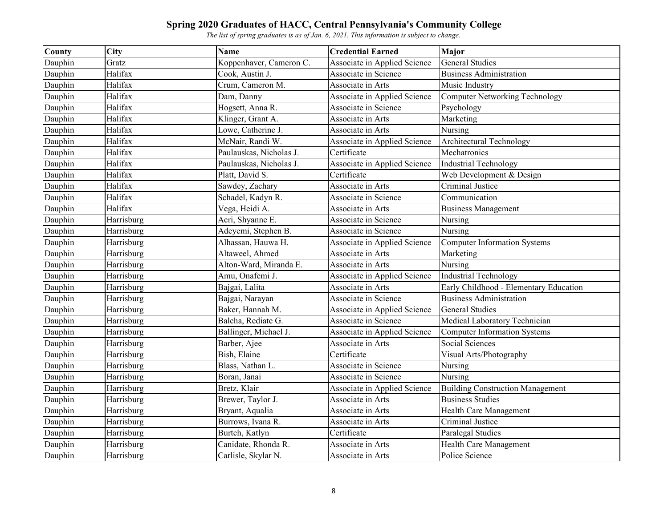| <b>County</b> | City       | <b>Name</b>             | <b>Credential Earned</b>     | Major                                   |
|---------------|------------|-------------------------|------------------------------|-----------------------------------------|
| Dauphin       | Gratz      | Koppenhaver, Cameron C. | Associate in Applied Science | <b>General Studies</b>                  |
| Dauphin       | Halifax    | Cook, Austin J.         | Associate in Science         | <b>Business Administration</b>          |
| Dauphin       | Halifax    | Crum, Cameron M.        | Associate in Arts            | Music Industry                          |
| Dauphin       | Halifax    | Dam, Danny              | Associate in Applied Science | <b>Computer Networking Technology</b>   |
| Dauphin       | Halifax    | Hogsett, Anna R.        | Associate in Science         | Psychology                              |
| Dauphin       | Halifax    | Klinger, Grant A.       | Associate in Arts            | Marketing                               |
| Dauphin       | Halifax    | Lowe, Catherine J.      | Associate in Arts            | Nursing                                 |
| Dauphin       | Halifax    | McNair, Randi W.        | Associate in Applied Science | Architectural Technology                |
| Dauphin       | Halifax    | Paulauskas, Nicholas J. | Certificate                  | Mechatronics                            |
| Dauphin       | Halifax    | Paulauskas, Nicholas J. | Associate in Applied Science | <b>Industrial Technology</b>            |
| Dauphin       | Halifax    | Platt, David S.         | Certificate                  | Web Development & Design                |
| Dauphin       | Halifax    | Sawdey, Zachary         | Associate in Arts            | Criminal Justice                        |
| Dauphin       | Halifax    | Schadel, Kadyn R.       | Associate in Science         | Communication                           |
| Dauphin       | Halifax    | Vega, Heidi A.          | Associate in Arts            | <b>Business Management</b>              |
| Dauphin       | Harrisburg | Acri, Shyanne E.        | Associate in Science         | Nursing                                 |
| Dauphin       | Harrisburg | Adeyemi, Stephen B.     | Associate in Science         | Nursing                                 |
| Dauphin       | Harrisburg | Alhassan, Hauwa H.      | Associate in Applied Science | <b>Computer Information Systems</b>     |
| Dauphin       | Harrisburg | Altaweel, Ahmed         | Associate in Arts            | Marketing                               |
| Dauphin       | Harrisburg | Alton-Ward, Miranda E.  | Associate in Arts            | Nursing                                 |
| Dauphin       | Harrisburg | Amu, Onafemi J.         | Associate in Applied Science | <b>Industrial Technology</b>            |
| Dauphin       | Harrisburg | Bajgai, Lalita          | Associate in Arts            | Early Childhood - Elementary Education  |
| Dauphin       | Harrisburg | Bajgai, Narayan         | Associate in Science         | <b>Business Administration</b>          |
| Dauphin       | Harrisburg | Baker, Hannah M.        | Associate in Applied Science | <b>General Studies</b>                  |
| Dauphin       | Harrisburg | Balcha, Rediate G.      | Associate in Science         | Medical Laboratory Technician           |
| Dauphin       | Harrisburg | Ballinger, Michael J.   | Associate in Applied Science | <b>Computer Information Systems</b>     |
| Dauphin       | Harrisburg | Barber, Ajee            | Associate in Arts            | Social Sciences                         |
| Dauphin       | Harrisburg | Bish, Elaine            | Certificate                  | Visual Arts/Photography                 |
| Dauphin       | Harrisburg | Blass, Nathan L.        | Associate in Science         | Nursing                                 |
| Dauphin       | Harrisburg | Boran, Janai            | Associate in Science         | Nursing                                 |
| Dauphin       | Harrisburg | Bretz, Klair            | Associate in Applied Science | <b>Building Construction Management</b> |
| Dauphin       | Harrisburg | Brewer, Taylor J.       | Associate in Arts            | <b>Business Studies</b>                 |
| Dauphin       | Harrisburg | Bryant, Aqualia         | Associate in Arts            | Health Care Management                  |
| Dauphin       | Harrisburg | Burrows, Ivana R.       | Associate in Arts            | Criminal Justice                        |
| Dauphin       | Harrisburg | Burtch, Katlyn          | Certificate                  | Paralegal Studies                       |
| Dauphin       | Harrisburg | Canidate, Rhonda R.     | Associate in Arts            | Health Care Management                  |
| Dauphin       | Harrisburg | Carlisle, Skylar N.     | Associate in Arts            | Police Science                          |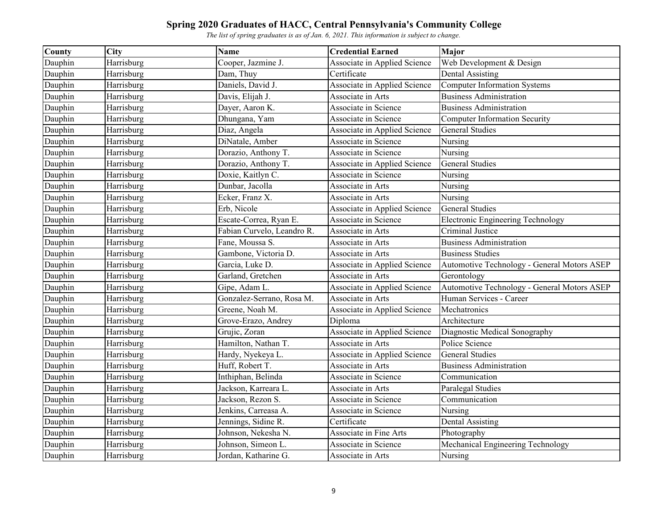| <b>County</b> | City       | <b>Name</b>                | <b>Credential Earned</b>     | <b>Major</b>                                |
|---------------|------------|----------------------------|------------------------------|---------------------------------------------|
| Dauphin       | Harrisburg | Cooper, Jazmine J.         | Associate in Applied Science | Web Development & Design                    |
| Dauphin       | Harrisburg | Dam, Thuy                  | Certificate                  | <b>Dental Assisting</b>                     |
| Dauphin       | Harrisburg | Daniels, David J.          | Associate in Applied Science | <b>Computer Information Systems</b>         |
| Dauphin       | Harrisburg | Davis, Elijah J.           | Associate in Arts            | <b>Business Administration</b>              |
| Dauphin       | Harrisburg | Dayer, Aaron K.            | Associate in Science         | <b>Business Administration</b>              |
| Dauphin       | Harrisburg | Dhungana, Yam              | Associate in Science         | <b>Computer Information Security</b>        |
| Dauphin       | Harrisburg | Diaz, Angela               | Associate in Applied Science | <b>General Studies</b>                      |
| Dauphin       | Harrisburg | DiNatale, Amber            | Associate in Science         | Nursing                                     |
| Dauphin       | Harrisburg | Dorazio, Anthony T.        | Associate in Science         | Nursing                                     |
| Dauphin       | Harrisburg | Dorazio, Anthony T.        | Associate in Applied Science | <b>General Studies</b>                      |
| Dauphin       | Harrisburg | Doxie, Kaitlyn C.          | Associate in Science         | Nursing                                     |
| Dauphin       | Harrisburg | Dunbar, Jacolla            | Associate in Arts            | Nursing                                     |
| Dauphin       | Harrisburg | Ecker, Franz X.            | Associate in Arts            | Nursing                                     |
| Dauphin       | Harrisburg | Erb, Nicole                | Associate in Applied Science | <b>General Studies</b>                      |
| Dauphin       | Harrisburg | Escate-Correa, Ryan E.     | Associate in Science         | <b>Electronic Engineering Technology</b>    |
| Dauphin       | Harrisburg | Fabian Curvelo, Leandro R. | Associate in Arts            | Criminal Justice                            |
| Dauphin       | Harrisburg | Fane, Moussa S.            | Associate in Arts            | <b>Business Administration</b>              |
| Dauphin       | Harrisburg | Gambone, Victoria D.       | Associate in Arts            | <b>Business Studies</b>                     |
| Dauphin       | Harrisburg | Garcia, Luke D.            | Associate in Applied Science | Automotive Technology - General Motors ASEP |
| Dauphin       | Harrisburg | Garland, Gretchen          | Associate in Arts            | Gerontology                                 |
| Dauphin       | Harrisburg | Gipe, Adam L.              | Associate in Applied Science | Automotive Technology - General Motors ASEP |
| Dauphin       | Harrisburg | Gonzalez-Serrano, Rosa M.  | Associate in Arts            | Human Services - Career                     |
| Dauphin       | Harrisburg | Greene, Noah M.            | Associate in Applied Science | Mechatronics                                |
| Dauphin       | Harrisburg | Grove-Erazo, Andrey        | Diploma                      | Architecture                                |
| Dauphin       | Harrisburg | Grujic, Zoran              | Associate in Applied Science | Diagnostic Medical Sonography               |
| Dauphin       | Harrisburg | Hamilton, Nathan T.        | Associate in Arts            | Police Science                              |
| Dauphin       | Harrisburg | Hardy, Nyekeya L.          | Associate in Applied Science | <b>General Studies</b>                      |
| Dauphin       | Harrisburg | Huff, Robert T.            | Associate in Arts            | <b>Business Administration</b>              |
| Dauphin       | Harrisburg | Inthiphan, Belinda         | Associate in Science         | Communication                               |
| Dauphin       | Harrisburg | Jackson, Karreara L.       | Associate in Arts            | Paralegal Studies                           |
| Dauphin       | Harrisburg | Jackson, Rezon S.          | Associate in Science         | Communication                               |
| Dauphin       | Harrisburg | Jenkins, Carreasa A.       | Associate in Science         | Nursing                                     |
| Dauphin       | Harrisburg | Jennings, Sidine R.        | Certificate                  | <b>Dental Assisting</b>                     |
| Dauphin       | Harrisburg | Johnson, Nekesha N.        | Associate in Fine Arts       | Photography                                 |
| Dauphin       | Harrisburg | Johnson, Simeon L.         | Associate in Science         | Mechanical Engineering Technology           |
| Dauphin       | Harrisburg | Jordan, Katharine G.       | Associate in Arts            | Nursing                                     |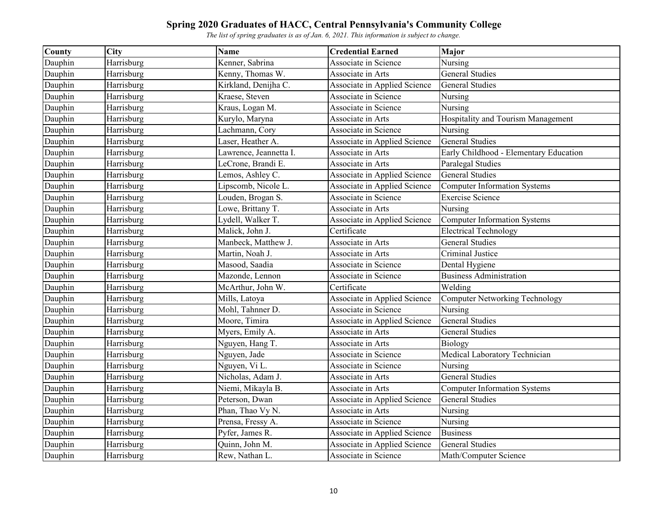| County  | City       | <b>Name</b>            | <b>Credential Earned</b>     | Major                                     |
|---------|------------|------------------------|------------------------------|-------------------------------------------|
| Dauphin | Harrisburg | Kenner, Sabrina        | Associate in Science         | Nursing                                   |
| Dauphin | Harrisburg | Kenny, Thomas W.       | Associate in Arts            | <b>General Studies</b>                    |
| Dauphin | Harrisburg | Kirkland, Denijha C.   | Associate in Applied Science | <b>General Studies</b>                    |
| Dauphin | Harrisburg | Kraese, Steven         | Associate in Science         | Nursing                                   |
| Dauphin | Harrisburg | Kraus, Logan M.        | Associate in Science         | Nursing                                   |
| Dauphin | Harrisburg | Kurylo, Maryna         | Associate in Arts            | <b>Hospitality and Tourism Management</b> |
| Dauphin | Harrisburg | Lachmann, Cory         | Associate in Science         | Nursing                                   |
| Dauphin | Harrisburg | Laser, Heather A.      | Associate in Applied Science | <b>General Studies</b>                    |
| Dauphin | Harrisburg | Lawrence, Jeannetta I. | Associate in Arts            | Early Childhood - Elementary Education    |
| Dauphin | Harrisburg | LeCrone, Brandi E.     | Associate in Arts            | Paralegal Studies                         |
| Dauphin | Harrisburg | Lemos, Ashley C.       | Associate in Applied Science | <b>General Studies</b>                    |
| Dauphin | Harrisburg | Lipscomb, Nicole L.    | Associate in Applied Science | <b>Computer Information Systems</b>       |
| Dauphin | Harrisburg | Louden, Brogan S.      | Associate in Science         | <b>Exercise Science</b>                   |
| Dauphin | Harrisburg | Lowe, Brittany T.      | Associate in Arts            | Nursing                                   |
| Dauphin | Harrisburg | Lydell, Walker T.      | Associate in Applied Science | <b>Computer Information Systems</b>       |
| Dauphin | Harrisburg | Malick, John J.        | Certificate                  | <b>Electrical Technology</b>              |
| Dauphin | Harrisburg | Manbeck, Matthew J.    | Associate in Arts            | <b>General Studies</b>                    |
| Dauphin | Harrisburg | Martin, Noah J.        | Associate in Arts            | Criminal Justice                          |
| Dauphin | Harrisburg | Masood, Saadia         | Associate in Science         | Dental Hygiene                            |
| Dauphin | Harrisburg | Mazonde, Lennon        | Associate in Science         | <b>Business Administration</b>            |
| Dauphin | Harrisburg | McArthur, John W.      | Certificate                  | Welding                                   |
| Dauphin | Harrisburg | Mills, Latoya          | Associate in Applied Science | <b>Computer Networking Technology</b>     |
| Dauphin | Harrisburg | Mohl, Tahnner D.       | Associate in Science         | Nursing                                   |
| Dauphin | Harrisburg | Moore, Timira          | Associate in Applied Science | <b>General Studies</b>                    |
| Dauphin | Harrisburg | Myers, Emily A.        | Associate in Arts            | <b>General Studies</b>                    |
| Dauphin | Harrisburg | Nguyen, Hang T.        | Associate in Arts            | Biology                                   |
| Dauphin | Harrisburg | Nguyen, Jade           | Associate in Science         | Medical Laboratory Technician             |
| Dauphin | Harrisburg | Nguyen, Vi L.          | Associate in Science         | Nursing                                   |
| Dauphin | Harrisburg | Nicholas, Adam J.      | Associate in Arts            | <b>General Studies</b>                    |
| Dauphin | Harrisburg | Niemi, Mikayla B.      | Associate in Arts            | <b>Computer Information Systems</b>       |
| Dauphin | Harrisburg | Peterson, Dwan         | Associate in Applied Science | General Studies                           |
| Dauphin | Harrisburg | Phan, Thao Vy N.       | Associate in Arts            | Nursing                                   |
| Dauphin | Harrisburg | Prensa, Fressy A.      | Associate in Science         | Nursing                                   |
| Dauphin | Harrisburg | Pyfer, James R.        | Associate in Applied Science | <b>Business</b>                           |
| Dauphin | Harrisburg | Quinn, John M.         | Associate in Applied Science | <b>General Studies</b>                    |
| Dauphin | Harrisburg | Rew, Nathan L.         | Associate in Science         | Math/Computer Science                     |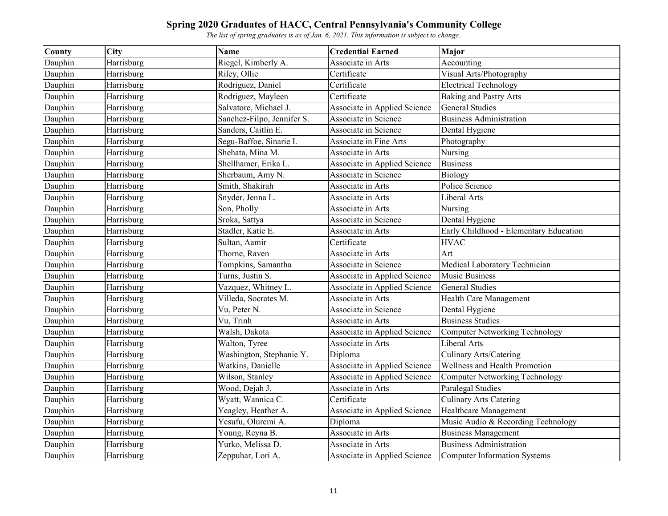| <b>County</b> | City       | <b>Name</b>                | <b>Credential Earned</b>     | <b>Major</b>                           |
|---------------|------------|----------------------------|------------------------------|----------------------------------------|
| Dauphin       | Harrisburg | Riegel, Kimberly A.        | Associate in Arts            | Accounting                             |
| Dauphin       | Harrisburg | Riley, Ollie               | Certificate                  | Visual Arts/Photography                |
| Dauphin       | Harrisburg | Rodriguez, Daniel          | Certificate                  | <b>Electrical Technology</b>           |
| Dauphin       | Harrisburg | Rodriguez, Mayleen         | Certificate                  | <b>Baking and Pastry Arts</b>          |
| Dauphin       | Harrisburg | Salvatore, Michael J.      | Associate in Applied Science | <b>General Studies</b>                 |
| Dauphin       | Harrisburg | Sanchez-Filpo, Jennifer S. | Associate in Science         | <b>Business Administration</b>         |
| Dauphin       | Harrisburg | Sanders, Caitlin E.        | Associate in Science         | Dental Hygiene                         |
| Dauphin       | Harrisburg | Segu-Baffoe, Sinarie I.    | Associate in Fine Arts       | Photography                            |
| Dauphin       | Harrisburg | Shehata, Mina M.           | Associate in Arts            | Nursing                                |
| Dauphin       | Harrisburg | Shellhamer, Erika L.       | Associate in Applied Science | <b>Business</b>                        |
| Dauphin       | Harrisburg | Sherbaum, Amy N.           | Associate in Science         | Biology                                |
| Dauphin       | Harrisburg | Smith, Shakirah            | Associate in Arts            | Police Science                         |
| Dauphin       | Harrisburg | Snyder, Jenna L.           | Associate in Arts            | Liberal Arts                           |
| Dauphin       | Harrisburg | Son, Pholly                | Associate in Arts            | Nursing                                |
| Dauphin       | Harrisburg | Sroka, Sattya              | Associate in Science         | Dental Hygiene                         |
| Dauphin       | Harrisburg | Stadler, Katie E.          | Associate in Arts            | Early Childhood - Elementary Education |
| Dauphin       | Harrisburg | Sultan, Aamir              | Certificate                  | <b>HVAC</b>                            |
| Dauphin       | Harrisburg | Thorne, Raven              | Associate in Arts            | Art                                    |
| Dauphin       | Harrisburg | Tompkins, Samantha         | Associate in Science         | Medical Laboratory Technician          |
| Dauphin       | Harrisburg | Turns, Justin S.           | Associate in Applied Science | <b>Music Business</b>                  |
| Dauphin       | Harrisburg | Vazquez, Whitney L.        | Associate in Applied Science | <b>General Studies</b>                 |
| Dauphin       | Harrisburg | Villeda, Socrates M.       | Associate in Arts            | Health Care Management                 |
| Dauphin       | Harrisburg | Vu, Peter N.               | Associate in Science         | Dental Hygiene                         |
| Dauphin       | Harrisburg | Vu, Trinh                  | Associate in Arts            | <b>Business Studies</b>                |
| Dauphin       | Harrisburg | Walsh, Dakota              | Associate in Applied Science | <b>Computer Networking Technology</b>  |
| Dauphin       | Harrisburg | Walton, Tyree              | Associate in Arts            | Liberal Arts                           |
| Dauphin       | Harrisburg | Washington, Stephanie Y.   | Diploma                      | Culinary Arts/Catering                 |
| Dauphin       | Harrisburg | Watkins, Danielle          | Associate in Applied Science | Wellness and Health Promotion          |
| Dauphin       | Harrisburg | Wilson, Stanley            | Associate in Applied Science | <b>Computer Networking Technology</b>  |
| Dauphin       | Harrisburg | Wood, Dejah J.             | Associate in Arts            | Paralegal Studies                      |
| Dauphin       | Harrisburg | Wyatt, Wannica C.          | Certificate                  | <b>Culinary Arts Catering</b>          |
| Dauphin       | Harrisburg | Yeagley, Heather A.        | Associate in Applied Science | Healthcare Management                  |
| Dauphin       | Harrisburg | Yesufu, Oluremi A.         | Diploma                      | Music Audio & Recording Technology     |
| Dauphin       | Harrisburg | Young, Reyna B.            | Associate in Arts            | <b>Business Management</b>             |
| Dauphin       | Harrisburg | Yurko, Melissa D.          | Associate in Arts            | <b>Business Administration</b>         |
| Dauphin       | Harrisburg | Zeppuhar, Lori A.          | Associate in Applied Science | Computer Information Systems           |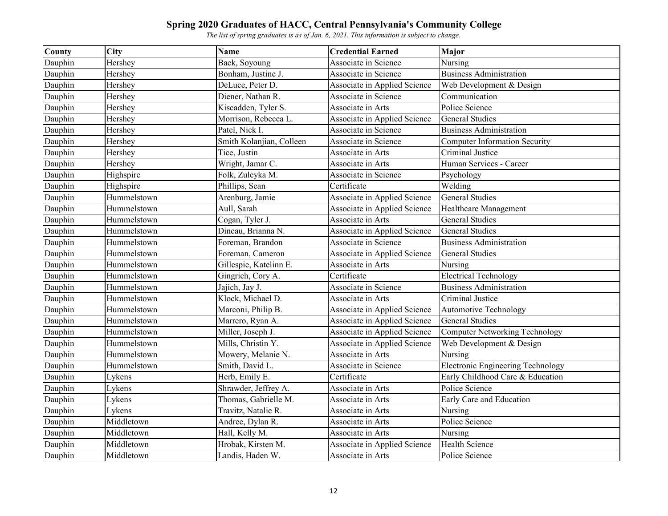| <b>County</b> | City        | <b>Name</b>              | <b>Credential Earned</b>     | <b>Major</b>                             |
|---------------|-------------|--------------------------|------------------------------|------------------------------------------|
| Dauphin       | Hershey     | Baek, Soyoung            | Associate in Science         | Nursing                                  |
| Dauphin       | Hershey     | Bonham, Justine J.       | Associate in Science         | <b>Business Administration</b>           |
| Dauphin       | Hershey     | DeLuce, Peter D.         | Associate in Applied Science | Web Development & Design                 |
| Dauphin       | Hershey     | Diener, Nathan R.        | Associate in Science         | Communication                            |
| Dauphin       | Hershey     | Kiscadden, Tyler S.      | Associate in Arts            | Police Science                           |
| Dauphin       | Hershey     | Morrison, Rebecca L.     | Associate in Applied Science | <b>General Studies</b>                   |
| Dauphin       | Hershey     | Patel, Nick I.           | Associate in Science         | <b>Business Administration</b>           |
| Dauphin       | Hershey     | Smith Kolanjian, Colleen | Associate in Science         | <b>Computer Information Security</b>     |
| Dauphin       | Hershey     | Tice, Justin             | Associate in Arts            | Criminal Justice                         |
| Dauphin       | Hershey     | Wright, Jamar C.         | Associate in Arts            | Human Services - Career                  |
| Dauphin       | Highspire   | Folk, Zuleyka M.         | Associate in Science         | Psychology                               |
| Dauphin       | Highspire   | Phillips, Sean           | Certificate                  | Welding                                  |
| Dauphin       | Hummelstown | Arenburg, Jamie          | Associate in Applied Science | <b>General Studies</b>                   |
| Dauphin       | Hummelstown | Aull, Sarah              | Associate in Applied Science | Healthcare Management                    |
| Dauphin       | Hummelstown | Cogan, Tyler J.          | Associate in Arts            | <b>General Studies</b>                   |
| Dauphin       | Hummelstown | Dincau, Brianna N.       | Associate in Applied Science | <b>General Studies</b>                   |
| Dauphin       | Hummelstown | Foreman, Brandon         | Associate in Science         | <b>Business Administration</b>           |
| Dauphin       | Hummelstown | Foreman, Cameron         | Associate in Applied Science | <b>General Studies</b>                   |
| Dauphin       | Hummelstown | Gillespie, Katelinn E.   | Associate in Arts            | Nursing                                  |
| Dauphin       | Hummelstown | Gingrich, Cory A.        | Certificate                  | <b>Electrical Technology</b>             |
| Dauphin       | Hummelstown | Jajich, Jay J.           | Associate in Science         | <b>Business Administration</b>           |
| Dauphin       | Hummelstown | Klock, Michael D.        | Associate in Arts            | Criminal Justice                         |
| Dauphin       | Hummelstown | Marconi, Philip B.       | Associate in Applied Science | <b>Automotive Technology</b>             |
| Dauphin       | Hummelstown | Marrero, Ryan A.         | Associate in Applied Science | <b>General Studies</b>                   |
| Dauphin       | Hummelstown | Miller, Joseph J.        | Associate in Applied Science | <b>Computer Networking Technology</b>    |
| Dauphin       | Hummelstown | Mills, Christin Y.       | Associate in Applied Science | Web Development & Design                 |
| Dauphin       | Hummelstown | Mowery, Melanie N.       | Associate in Arts            | Nursing                                  |
| Dauphin       | Hummelstown | Smith, David L.          | Associate in Science         | <b>Electronic Engineering Technology</b> |
| Dauphin       | Lykens      | Herb, Emily E.           | Certificate                  | Early Childhood Care & Education         |
| Dauphin       | Lykens      | Shrawder, Jeffrey A.     | Associate in Arts            | Police Science                           |
| Dauphin       | Lykens      | Thomas, Gabrielle M.     | Associate in Arts            | Early Care and Education                 |
| Dauphin       | Lykens      | Travitz, Natalie R.      | Associate in Arts            | Nursing                                  |
| Dauphin       | Middletown  | Andree, Dylan R.         | Associate in Arts            | Police Science                           |
| Dauphin       | Middletown  | Hall, Kelly M.           | Associate in Arts            | Nursing                                  |
| Dauphin       | Middletown  | Hrobak, Kirsten M.       | Associate in Applied Science | Health Science                           |
| Dauphin       | Middletown  | Landis, Haden W.         | Associate in Arts            | Police Science                           |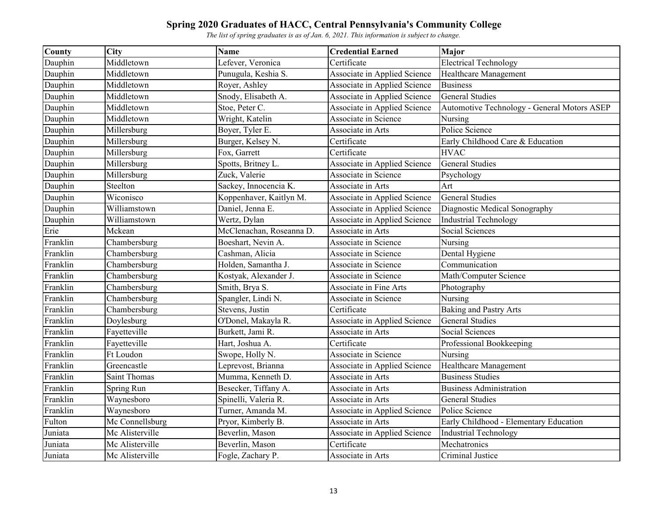| County   | City                | <b>Name</b>              | <b>Credential Earned</b>     | Major                                       |
|----------|---------------------|--------------------------|------------------------------|---------------------------------------------|
| Dauphin  | Middletown          | Lefever, Veronica        | Certificate                  | <b>Electrical Technology</b>                |
| Dauphin  | Middletown          | Punugula, Keshia S.      | Associate in Applied Science | Healthcare Management                       |
| Dauphin  | Middletown          | Royer, Ashley            | Associate in Applied Science | <b>Business</b>                             |
| Dauphin  | Middletown          | Snody, Elisabeth A.      | Associate in Applied Science | <b>General Studies</b>                      |
| Dauphin  | Middletown          | Stoe, Peter C.           | Associate in Applied Science | Automotive Technology - General Motors ASEP |
| Dauphin  | Middletown          | Wright, Katelin          | Associate in Science         | Nursing                                     |
| Dauphin  | Millersburg         | Boyer, Tyler E.          | Associate in Arts            | Police Science                              |
| Dauphin  | Millersburg         | Burger, Kelsey N.        | Certificate                  | Early Childhood Care & Education            |
| Dauphin  | Millersburg         | Fox, Garrett             | Certificate                  | <b>HVAC</b>                                 |
| Dauphin  | Millersburg         | Spotts, Britney L.       | Associate in Applied Science | <b>General Studies</b>                      |
| Dauphin  | Millersburg         | Zuck, Valerie            | Associate in Science         | Psychology                                  |
| Dauphin  | Steelton            | Sackey, Innocencia K.    | Associate in Arts            | Art                                         |
| Dauphin  | Wiconisco           | Koppenhaver, Kaitlyn M.  | Associate in Applied Science | <b>General Studies</b>                      |
| Dauphin  | Williamstown        | Daniel, Jenna E.         | Associate in Applied Science | Diagnostic Medical Sonography               |
| Dauphin  | Williamstown        | Wertz, Dylan             | Associate in Applied Science | <b>Industrial Technology</b>                |
| Erie     | Mckean              | McClenachan, Roseanna D. | Associate in Arts            | Social Sciences                             |
| Franklin | Chambersburg        | Boeshart, Nevin A.       | Associate in Science         | Nursing                                     |
| Franklin | Chambersburg        | Cashman, Alicia          | Associate in Science         | Dental Hygiene                              |
| Franklin | Chambersburg        | Holden, Samantha J.      | Associate in Science         | Communication                               |
| Franklin | Chambersburg        | Kostyak, Alexander J.    | Associate in Science         | Math/Computer Science                       |
| Franklin | Chambersburg        | Smith, Brya S.           | Associate in Fine Arts       | Photography                                 |
| Franklin | Chambersburg        | Spangler, Lindi N.       | Associate in Science         | Nursing                                     |
| Franklin | Chambersburg        | Stevens, Justin          | Certificate                  | <b>Baking and Pastry Arts</b>               |
| Franklin | Doylesburg          | O'Donel, Makayla R.      | Associate in Applied Science | <b>General Studies</b>                      |
| Franklin | Fayetteville        | Burkett, Jami R.         | Associate in Arts            | Social Sciences                             |
| Franklin | Fayetteville        | Hart, Joshua A.          | Certificate                  | Professional Bookkeeping                    |
| Franklin | Ft Loudon           | Swope, Holly N.          | Associate in Science         | Nursing                                     |
| Franklin | Greencastle         | Leprevost, Brianna       | Associate in Applied Science | Healthcare Management                       |
| Franklin | <b>Saint Thomas</b> | Mumma, Kenneth D.        | Associate in Arts            | <b>Business Studies</b>                     |
| Franklin | Spring Run          | Besecker, Tiffany A.     | Associate in Arts            | <b>Business Administration</b>              |
| Franklin | Waynesboro          | Spinelli, Valeria R.     | Associate in Arts            | <b>General Studies</b>                      |
| Franklin | Waynesboro          | Turner, Amanda M.        | Associate in Applied Science | Police Science                              |
| Fulton   | Mc Connellsburg     | Pryor, Kimberly B.       | Associate in Arts            | Early Childhood - Elementary Education      |
| Juniata  | Mc Alisterville     | Beverlin, Mason          | Associate in Applied Science | <b>Industrial Technology</b>                |
| Juniata  | Mc Alisterville     | Beverlin, Mason          | Certificate                  | Mechatronics                                |
| Juniata  | Mc Alisterville     | Fogle, Zachary P.        | Associate in Arts            | Criminal Justice                            |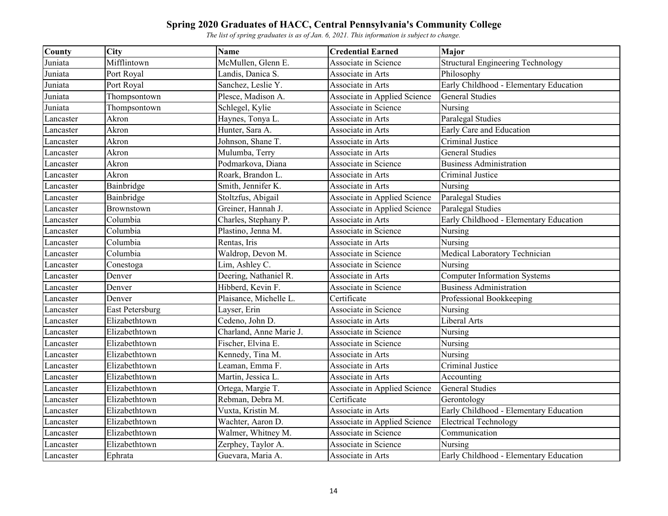| County    | <b>City</b>            | <b>Name</b>             | <b>Credential Earned</b>     | Major                                    |
|-----------|------------------------|-------------------------|------------------------------|------------------------------------------|
| Juniata   | Mifflintown            | McMullen, Glenn E.      | Associate in Science         | <b>Structural Engineering Technology</b> |
| Juniata   | Port Royal             | Landis, Danica S.       | Associate in Arts            | Philosophy                               |
| Juniata   | Port Royal             | Sanchez, Leslie Y.      | Associate in Arts            | Early Childhood - Elementary Education   |
| Juniata   | Thompsontown           | Plesce, Madison A.      | Associate in Applied Science | <b>General Studies</b>                   |
| Juniata   | Thompsontown           | Schlegel, Kylie         | Associate in Science         | Nursing                                  |
| Lancaster | Akron                  | Haynes, Tonya L.        | Associate in Arts            | <b>Paralegal Studies</b>                 |
| Lancaster | Akron                  | Hunter, Sara A.         | Associate in Arts            | Early Care and Education                 |
| Lancaster | Akron                  | Johnson, Shane T.       | Associate in Arts            | Criminal Justice                         |
| Lancaster | Akron                  | Mulumba, Terry          | Associate in Arts            | <b>General Studies</b>                   |
| Lancaster | Akron                  | Podmarkova, Diana       | Associate in Science         | <b>Business Administration</b>           |
| Lancaster | Akron                  | Roark, Brandon L.       | Associate in Arts            | Criminal Justice                         |
| Lancaster | Bainbridge             | Smith, Jennifer K.      | Associate in Arts            | Nursing                                  |
| Lancaster | Bainbridge             | Stoltzfus, Abigail      | Associate in Applied Science | Paralegal Studies                        |
| Lancaster | Brownstown             | Greiner, Hannah J.      | Associate in Applied Science | Paralegal Studies                        |
| Lancaster | Columbia               | Charles, Stephany P.    | Associate in Arts            | Early Childhood - Elementary Education   |
| Lancaster | Columbia               | Plastino, Jenna M.      | Associate in Science         | Nursing                                  |
| Lancaster | Columbia               | Rentas, Iris            | Associate in Arts            | Nursing                                  |
| Lancaster | Columbia               | Waldrop, Devon M.       | Associate in Science         | Medical Laboratory Technician            |
| Lancaster | Conestoga              | Lim, Ashley C.          | Associate in Science         | Nursing                                  |
| Lancaster | Denver                 | Deering, Nathaniel R.   | Associate in Arts            | <b>Computer Information Systems</b>      |
| Lancaster | Denver                 | Hibberd, Kevin F.       | Associate in Science         | <b>Business Administration</b>           |
| Lancaster | Denver                 | Plaisance, Michelle L.  | Certificate                  | Professional Bookkeeping                 |
| Lancaster | <b>East Petersburg</b> | Layser, Erin            | Associate in Science         | Nursing                                  |
| Lancaster | Elizabethtown          | Cedeno, John D.         | Associate in Arts            | Liberal Arts                             |
| Lancaster | Elizabethtown          | Charland, Anne Marie J. | Associate in Science         | Nursing                                  |
| Lancaster | Elizabethtown          | Fischer, Elvina E.      | Associate in Science         | Nursing                                  |
| Lancaster | Elizabethtown          | Kennedy, Tina M.        | Associate in Arts            | Nursing                                  |
| Lancaster | Elizabethtown          | Leaman, Emma F.         | Associate in Arts            | Criminal Justice                         |
| Lancaster | Elizabethtown          | Martin, Jessica L.      | Associate in Arts            | Accounting                               |
| Lancaster | Elizabethtown          | Ortega, Margie T.       | Associate in Applied Science | <b>General Studies</b>                   |
| Lancaster | Elizabethtown          | Rebman, Debra M.        | Certificate                  | Gerontology                              |
| Lancaster | Elizabethtown          | Vuxta, Kristin M.       | Associate in Arts            | Early Childhood - Elementary Education   |
| Lancaster | Elizabethtown          | Wachter, Aaron D.       | Associate in Applied Science | <b>Electrical Technology</b>             |
| Lancaster | Elizabethtown          | Walmer, Whitney M.      | Associate in Science         | Communication                            |
| Lancaster | Elizabethtown          | Zerphey, Taylor A.      | Associate in Science         | Nursing                                  |
| Lancaster | Ephrata                | Guevara, Maria A.       | Associate in Arts            | Early Childhood - Elementary Education   |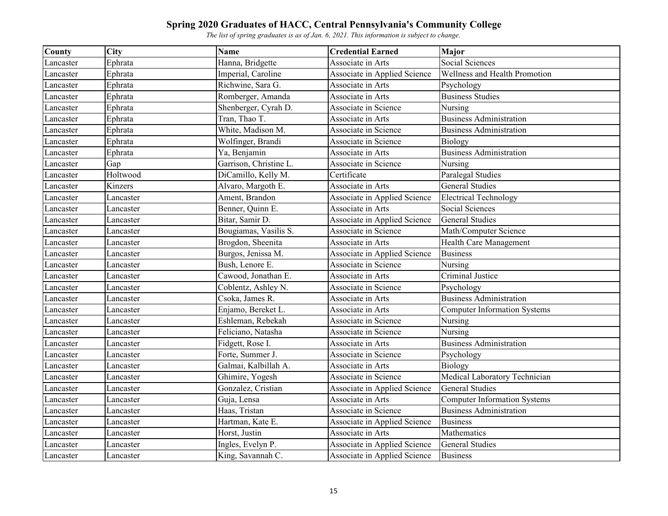| County    | City      | <b>Name</b>            | <b>Credential Earned</b>     | <b>Major</b>                        |
|-----------|-----------|------------------------|------------------------------|-------------------------------------|
| Lancaster | Ephrata   | Hanna, Bridgette       | Associate in Arts            | Social Sciences                     |
| Lancaster | Ephrata   | Imperial, Caroline     | Associate in Applied Science | Wellness and Health Promotion       |
| Lancaster | Ephrata   | Richwine, Sara G.      | Associate in Arts            | Psychology                          |
| Lancaster | Ephrata   | Romberger, Amanda      | Associate in Arts            | <b>Business Studies</b>             |
| Lancaster | Ephrata   | Shenberger, Cyrah D.   | Associate in Science         | Nursing                             |
| Lancaster | Ephrata   | Tran, Thao T.          | Associate in Arts            | <b>Business Administration</b>      |
| Lancaster | Ephrata   | White, Madison M.      | Associate in Science         | <b>Business Administration</b>      |
| Lancaster | Ephrata   | Wolfinger, Brandi      | Associate in Science         | <b>Biology</b>                      |
| Lancaster | Ephrata   | Ya, Benjamin           | Associate in Arts            | <b>Business Administration</b>      |
| Lancaster | Gap       | Garrison, Christine L. | Associate in Science         | Nursing                             |
| Lancaster | Holtwood  | DiCamillo, Kelly M.    | Certificate                  | Paralegal Studies                   |
| Lancaster | Kinzers   | Alvaro, Margoth E.     | Associate in Arts            | <b>General Studies</b>              |
| Lancaster | Lancaster | Ament, Brandon         | Associate in Applied Science | <b>Electrical Technology</b>        |
| Lancaster | Lancaster | Benner, Quinn E.       | Associate in Arts            | Social Sciences                     |
| Lancaster | Lancaster | Bitar, Samir D.        | Associate in Applied Science | <b>General Studies</b>              |
| Lancaster | Lancaster | Bougiamas, Vasilis S.  | Associate in Science         | Math/Computer Science               |
| Lancaster | Lancaster | Brogdon, Sheenita      | Associate in Arts            | Health Care Management              |
| Lancaster | Lancaster | Burgos, Jenissa M.     | Associate in Applied Science | <b>Business</b>                     |
| Lancaster | Lancaster | Bush, Lenore E.        | Associate in Science         | Nursing                             |
| Lancaster | Lancaster | Cawood, Jonathan E.    | Associate in Arts            | Criminal Justice                    |
| Lancaster | Lancaster | Coblentz, Ashley N.    | Associate in Science         | Psychology                          |
| Lancaster | Lancaster | Csoka, James R.        | Associate in Arts            | <b>Business Administration</b>      |
| Lancaster | Lancaster | Enjamo, Bereket L.     | Associate in Arts            | <b>Computer Information Systems</b> |
| Lancaster | Lancaster | Eshleman, Rebekah      | Associate in Science         | Nursing                             |
| Lancaster | Lancaster | Feliciano, Natasha     | Associate in Science         | Nursing                             |
| Lancaster | Lancaster | Fidgett, Rose I.       | Associate in Arts            | <b>Business Administration</b>      |
| Lancaster | Lancaster | Forte, Summer J.       | Associate in Science         | Psychology                          |
| Lancaster | Lancaster | Galmai, Kalbillah A.   | Associate in Arts            | Biology                             |
| Lancaster | Lancaster | Ghimire, Yogesh        | Associate in Science         | Medical Laboratory Technician       |
| Lancaster | Lancaster | Gonzalez, Cristian     | Associate in Applied Science | <b>General Studies</b>              |
| Lancaster | Lancaster | Guja, Lensa            | Associate in Arts            | <b>Computer Information Systems</b> |
| Lancaster | Lancaster | Haas, Tristan          | Associate in Science         | <b>Business Administration</b>      |
| Lancaster | Lancaster | Hartman, Kate E.       | Associate in Applied Science | <b>Business</b>                     |
| Lancaster | Lancaster | Horst, Justin          | Associate in Arts            | Mathematics                         |
| Lancaster | Lancaster | Ingles, Evelyn P.      | Associate in Applied Science | <b>General Studies</b>              |
| Lancaster | Lancaster | King, Savannah C.      | Associate in Applied Science | <b>Business</b>                     |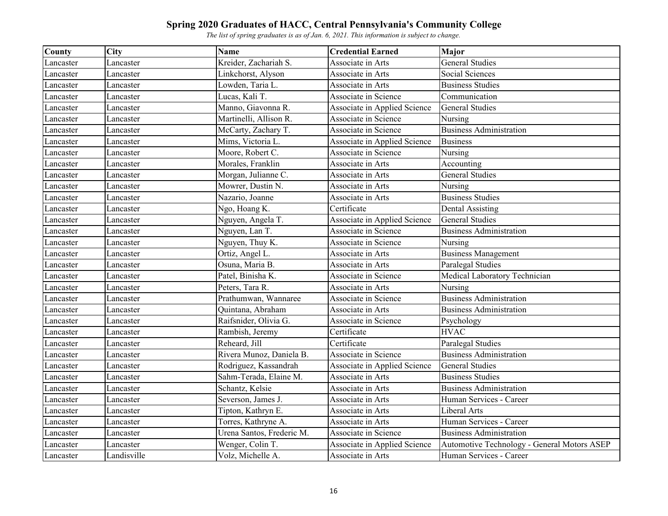| County    | <b>City</b> | <b>Name</b>               | <b>Credential Earned</b>     | Major                                       |
|-----------|-------------|---------------------------|------------------------------|---------------------------------------------|
| Lancaster | Lancaster   | Kreider, Zachariah S.     | Associate in Arts            | <b>General Studies</b>                      |
| Lancaster | Lancaster   | Linkchorst, Alyson        | Associate in Arts            | <b>Social Sciences</b>                      |
| Lancaster | Lancaster   | Lowden, Taria L.          | Associate in Arts            | <b>Business Studies</b>                     |
| Lancaster | Lancaster   | Lucas, Kali T.            | Associate in Science         | Communication                               |
| Lancaster | Lancaster   | Manno, Giavonna R.        | Associate in Applied Science | <b>General Studies</b>                      |
| Lancaster | Lancaster   | Martinelli, Allison R.    | Associate in Science         | Nursing                                     |
| Lancaster | Lancaster   | McCarty, Zachary T.       | Associate in Science         | <b>Business Administration</b>              |
| Lancaster | Lancaster   | Mims, Victoria L.         | Associate in Applied Science | <b>Business</b>                             |
| Lancaster | Lancaster   | Moore, Robert C.          | Associate in Science         | Nursing                                     |
| Lancaster | Lancaster   | Morales, Franklin         | Associate in Arts            | Accounting                                  |
| Lancaster | Lancaster   | Morgan, Julianne C.       | Associate in Arts            | <b>General Studies</b>                      |
| Lancaster | Lancaster   | Mowrer, Dustin N.         | Associate in Arts            | Nursing                                     |
| Lancaster | Lancaster   | Nazario, Joanne           | Associate in Arts            | <b>Business Studies</b>                     |
| Lancaster | Lancaster   | Ngo, Hoang K.             | Certificate                  | <b>Dental Assisting</b>                     |
| Lancaster | Lancaster   | Nguyen, Angela T.         | Associate in Applied Science | <b>General Studies</b>                      |
| Lancaster | Lancaster   | Nguyen, Lan T.            | Associate in Science         | <b>Business Administration</b>              |
| Lancaster | Lancaster   | Nguyen, Thuy K.           | Associate in Science         | Nursing                                     |
| Lancaster | Lancaster   | Ortiz, Angel L.           | Associate in Arts            | <b>Business Management</b>                  |
| Lancaster | Lancaster   | Osuna, Maria B.           | Associate in Arts            | Paralegal Studies                           |
| Lancaster | Lancaster   | Patel, Binisha K.         | Associate in Science         | Medical Laboratory Technician               |
| Lancaster | Lancaster   | Peters, Tara R.           | Associate in Arts            | Nursing                                     |
| Lancaster | Lancaster   | Prathumwan, Wannaree      | Associate in Science         | <b>Business Administration</b>              |
| Lancaster | Lancaster   | Quintana, Abraham         | Associate in Arts            | <b>Business Administration</b>              |
| Lancaster | Lancaster   | Raifsnider, Olivia G.     | Associate in Science         | Psychology                                  |
| Lancaster | Lancaster   | Rambish, Jeremy           | Certificate                  | <b>HVAC</b>                                 |
| Lancaster | Lancaster   | Reheard, Jill             | Certificate                  | Paralegal Studies                           |
| Lancaster | Lancaster   | Rivera Munoz, Daniela B.  | Associate in Science         | <b>Business Administration</b>              |
| Lancaster | Lancaster   | Rodriguez, Kassandrah     | Associate in Applied Science | <b>General Studies</b>                      |
| Lancaster | Lancaster   | Sahm-Terada, Elaine M.    | Associate in Arts            | <b>Business Studies</b>                     |
| Lancaster | Lancaster   | Schantz, Kelsie           | Associate in Arts            | <b>Business Administration</b>              |
| Lancaster | Lancaster   | Severson, James J.        | Associate in Arts            | Human Services - Career                     |
| Lancaster | Lancaster   | Tipton, Kathryn E.        | Associate in Arts            | Liberal Arts                                |
| Lancaster | Lancaster   | Torres, Kathryne A.       | Associate in Arts            | Human Services - Career                     |
| Lancaster | Lancaster   | Urena Santos, Frederic M. | Associate in Science         | <b>Business Administration</b>              |
| Lancaster | Lancaster   | Wenger, Colin T.          | Associate in Applied Science | Automotive Technology - General Motors ASEP |
| Lancaster | Landisville | Volz, Michelle A.         | Associate in Arts            | Human Services - Career                     |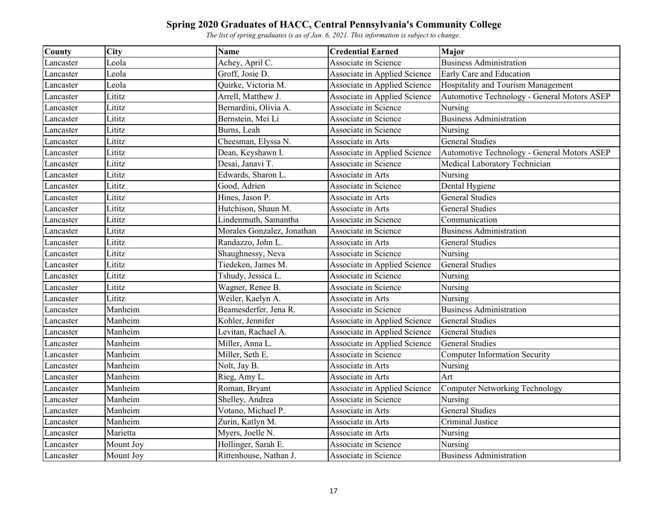| County    | City      | <b>Name</b>                | <b>Credential Earned</b>     | <b>Major</b>                                |
|-----------|-----------|----------------------------|------------------------------|---------------------------------------------|
| Lancaster | Leola     | Achey, April C.            | Associate in Science         | <b>Business Administration</b>              |
| Lancaster | Leola     | Groff, Josie D.            | Associate in Applied Science | Early Care and Education                    |
| Lancaster | Leola     | Quirke, Victoria M.        | Associate in Applied Science | Hospitality and Tourism Management          |
| Lancaster | Lititz    | Arrell, Matthew J.         | Associate in Applied Science | Automotive Technology - General Motors ASEP |
| Lancaster | Lititz    | Bernardini, Olivia A.      | Associate in Science         | Nursing                                     |
| Lancaster | Lititz    | Bernstein, Mei Li          | Associate in Science         | <b>Business Administration</b>              |
| Lancaster | Lititz    | Burns, Leah                | Associate in Science         | Nursing                                     |
| Lancaster | Lititz    | Cheesman, Elyssa N.        | Associate in Arts            | <b>General Studies</b>                      |
| Lancaster | Lititz    | Dean, Keyshawn I.          | Associate in Applied Science | Automotive Technology - General Motors ASEP |
| Lancaster | Lititz    | Desai, Janavi T.           | Associate in Science         | Medical Laboratory Technician               |
| Lancaster | Lititz    | Edwards, Sharon L.         | Associate in Arts            | Nursing                                     |
| Lancaster | Lititz    | Good, Adrien               | Associate in Science         | Dental Hygiene                              |
| Lancaster | Lititz    | Hines, Jason P.            | Associate in Arts            | <b>General Studies</b>                      |
| Lancaster | Lititz    | Hutchison, Shaun M.        | Associate in Arts            | <b>General Studies</b>                      |
| Lancaster | Lititz    | Lindenmuth, Samantha       | Associate in Science         | Communication                               |
| Lancaster | Lititz    | Morales Gonzalez, Jonathan | Associate in Science         | <b>Business Administration</b>              |
| Lancaster | Lititz    | Randazzo, John L.          | Associate in Arts            | <b>General Studies</b>                      |
| Lancaster | Lititz    | Shaughnessy, Neva          | Associate in Science         | Nursing                                     |
| Lancaster | Lititz    | Tiedeken, James M.         | Associate in Applied Science | <b>General Studies</b>                      |
| Lancaster | Lititz    | Tshudy, Jessica L.         | Associate in Science         | Nursing                                     |
| Lancaster | Lititz    | Wagner, Renee B.           | Associate in Science         | Nursing                                     |
| Lancaster | Lititz    | Weiler, Kaelyn A.          | Associate in Arts            | Nursing                                     |
| Lancaster | Manheim   | Beamesderfer, Jena R.      | Associate in Science         | <b>Business Administration</b>              |
| Lancaster | Manheim   | Kohler, Jennifer           | Associate in Applied Science | <b>General Studies</b>                      |
| Lancaster | Manheim   | Levitan, Rachael A.        | Associate in Applied Science | <b>General Studies</b>                      |
| Lancaster | Manheim   | Miller, Anna L.            | Associate in Applied Science | <b>General Studies</b>                      |
| Lancaster | Manheim   | Miller, Seth E.            | Associate in Science         | Computer Information Security               |
| Lancaster | Manheim   | Nolt, Jay B.               | Associate in Arts            | Nursing                                     |
| Lancaster | Manheim   | Rieg, Amy L.               | Associate in Arts            | Art                                         |
| Lancaster | Manheim   | Roman, Bryant              | Associate in Applied Science | <b>Computer Networking Technology</b>       |
| Lancaster | Manheim   | Shelley, Andrea            | Associate in Science         | Nursing                                     |
| Lancaster | Manheim   | Votano, Michael P.         | Associate in Arts            | <b>General Studies</b>                      |
| Lancaster | Manheim   | Zurin, Katlyn M.           | Associate in Arts            | Criminal Justice                            |
| Lancaster | Marietta  | Myers, Joelle N.           | Associate in Arts            | Nursing                                     |
| Lancaster | Mount Joy | Hollinger, Sarah E.        | Associate in Science         | Nursing                                     |
| Lancaster | Mount Joy | Rittenhouse, Nathan J.     | Associate in Science         | <b>Business Administration</b>              |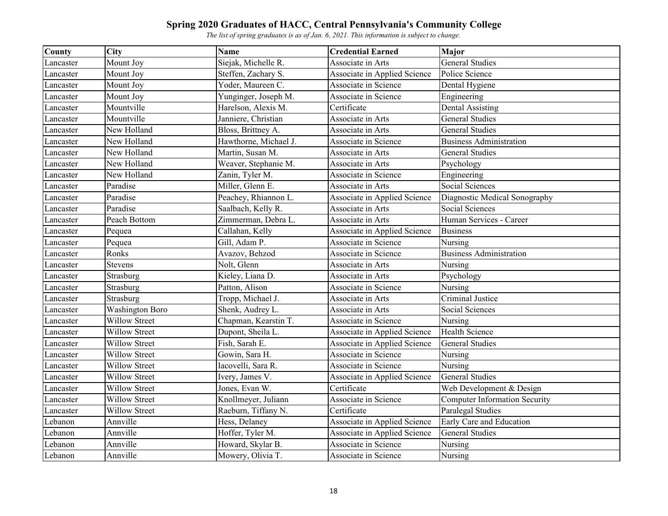| County    | City                 | <b>Name</b>           | <b>Credential Earned</b>     | <b>Major</b>                         |
|-----------|----------------------|-----------------------|------------------------------|--------------------------------------|
| Lancaster | Mount Joy            | Siejak, Michelle R.   | Associate in Arts            | <b>General Studies</b>               |
| Lancaster | Mount Joy            | Steffen, Zachary S.   | Associate in Applied Science | Police Science                       |
| Lancaster | Mount Joy            | Yoder, Maureen C.     | Associate in Science         | Dental Hygiene                       |
| Lancaster | Mount Joy            | Yunginger, Joseph M.  | Associate in Science         | Engineering                          |
| Lancaster | Mountville           | Harelson, Alexis M.   | Certificate                  | <b>Dental Assisting</b>              |
| Lancaster | Mountville           | Janniere, Christian   | Associate in Arts            | <b>General Studies</b>               |
| Lancaster | New Holland          | Bloss, Brittney A.    | Associate in Arts            | <b>General Studies</b>               |
| Lancaster | New Holland          | Hawthorne, Michael J. | Associate in Science         | <b>Business Administration</b>       |
| Lancaster | New Holland          | Martin, Susan M.      | Associate in Arts            | <b>General Studies</b>               |
| Lancaster | New Holland          | Weaver, Stephanie M.  | Associate in Arts            | Psychology                           |
| Lancaster | New Holland          | Zanin, Tyler M.       | Associate in Science         | Engineering                          |
| Lancaster | Paradise             | Miller, Glenn E.      | Associate in Arts            | Social Sciences                      |
| Lancaster | Paradise             | Peachey, Rhiannon L.  | Associate in Applied Science | Diagnostic Medical Sonography        |
| Lancaster | Paradise             | Saalbach, Kelly R.    | Associate in Arts            | Social Sciences                      |
| Lancaster | Peach Bottom         | Zimmerman, Debra L.   | Associate in Arts            | Human Services - Career              |
| Lancaster | Pequea               | Callahan, Kelly       | Associate in Applied Science | <b>Business</b>                      |
| Lancaster | Pequea               | Gill, Adam P.         | Associate in Science         | Nursing                              |
| Lancaster | Ronks                | Avazov, Behzod        | Associate in Science         | <b>Business Administration</b>       |
| Lancaster | <b>Stevens</b>       | Nolt, Glenn           | Associate in Arts            | Nursing                              |
| Lancaster | Strasburg            | Kieley, Liana D.      | Associate in Arts            | Psychology                           |
| Lancaster | Strasburg            | Patton, Alison        | Associate in Science         | Nursing                              |
| Lancaster | Strasburg            | Tropp, Michael J.     | Associate in Arts            | Criminal Justice                     |
| Lancaster | Washington Boro      | Shenk, Audrey L.      | Associate in Arts            | Social Sciences                      |
| Lancaster | Willow Street        | Chapman, Kearstin T.  | Associate in Science         | Nursing                              |
| Lancaster | <b>Willow Street</b> | Dupont, Sheila L.     | Associate in Applied Science | <b>Health Science</b>                |
| Lancaster | <b>Willow Street</b> | Fish, Sarah E.        | Associate in Applied Science | <b>General Studies</b>               |
| Lancaster | Willow Street        | Gowin, Sara H.        | Associate in Science         | Nursing                              |
| Lancaster | <b>Willow Street</b> | Iacovelli, Sara R.    | Associate in Science         | Nursing                              |
| Lancaster | <b>Willow Street</b> | Ivery, James V.       | Associate in Applied Science | <b>General Studies</b>               |
| Lancaster | <b>Willow Street</b> | Jones, Evan W.        | Certificate                  | Web Development & Design             |
| Lancaster | Willow Street        | Knollmeyer, Juliann   | Associate in Science         | <b>Computer Information Security</b> |
| Lancaster | <b>Willow Street</b> | Raeburn, Tiffany N.   | Certificate                  | Paralegal Studies                    |
| Lebanon   | Annville             | Hess, Delaney         | Associate in Applied Science | Early Care and Education             |
| Lebanon   | Annville             | Hoffer, Tyler M.      | Associate in Applied Science | <b>General Studies</b>               |
| Lebanon   | Annville             | Howard, Skylar B.     | Associate in Science         | Nursing                              |
| Lebanon   | Annville             | Mowery, Olivia T.     | Associate in Science         | Nursing                              |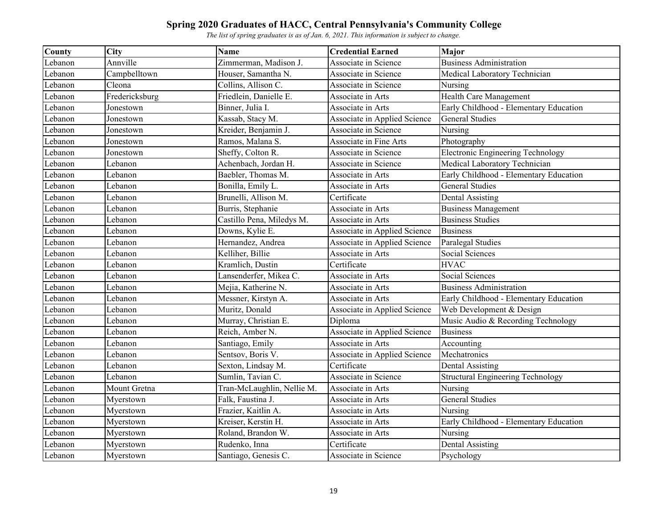| <b>County</b> | City           | <b>Name</b>                | <b>Credential Earned</b>     | <b>Major</b>                             |
|---------------|----------------|----------------------------|------------------------------|------------------------------------------|
| Lebanon       | Annville       | Zimmerman, Madison J.      | Associate in Science         | <b>Business Administration</b>           |
| Lebanon       | Campbelltown   | Houser, Samantha N.        | Associate in Science         | Medical Laboratory Technician            |
| Lebanon       | Cleona         | Collins, Allison C.        | Associate in Science         | Nursing                                  |
| Lebanon       | Fredericksburg | Friedlein, Danielle E.     | Associate in Arts            | Health Care Management                   |
| Lebanon       | Jonestown      | Binner, Julia I.           | Associate in Arts            | Early Childhood - Elementary Education   |
| Lebanon       | Jonestown      | Kassab, Stacy M.           | Associate in Applied Science | <b>General Studies</b>                   |
| Lebanon       | Jonestown      | Kreider, Benjamin J.       | Associate in Science         | Nursing                                  |
| Lebanon       | Jonestown      | Ramos, Malana S.           | Associate in Fine Arts       | Photography                              |
| Lebanon       | Jonestown      | Sheffy, Colton R.          | Associate in Science         | <b>Electronic Engineering Technology</b> |
| Lebanon       | Lebanon        | Achenbach, Jordan H.       | Associate in Science         | Medical Laboratory Technician            |
| Lebanon       | Lebanon        | Baebler, Thomas M.         | Associate in Arts            | Early Childhood - Elementary Education   |
| Lebanon       | Lebanon        | Bonilla, Emily L.          | Associate in Arts            | <b>General Studies</b>                   |
| Lebanon       | Lebanon        | Brunelli, Allison M.       | Certificate                  | <b>Dental Assisting</b>                  |
| Lebanon       | Lebanon        | Burris, Stephanie          | Associate in Arts            | <b>Business Management</b>               |
| Lebanon       | Lebanon        | Castillo Pena, Miledys M.  | Associate in Arts            | <b>Business Studies</b>                  |
| Lebanon       | Lebanon        | Downs, Kylie E.            | Associate in Applied Science | <b>Business</b>                          |
| Lebanon       | Lebanon        | Hernandez, Andrea          | Associate in Applied Science | Paralegal Studies                        |
| Lebanon       | Lebanon        | Kelliher, Billie           | Associate in Arts            | Social Sciences                          |
| Lebanon       | Lebanon        | Kramlich, Dustin           | Certificate                  | <b>HVAC</b>                              |
| Lebanon       | Lebanon        | Lansenderfer, Mikea C.     | Associate in Arts            | Social Sciences                          |
| Lebanon       | Lebanon        | Mejia, Katherine N.        | Associate in Arts            | <b>Business Administration</b>           |
| Lebanon       | Lebanon        | Messner, Kirstyn A.        | Associate in Arts            | Early Childhood - Elementary Education   |
| Lebanon       | Lebanon        | Muritz, Donald             | Associate in Applied Science | Web Development & Design                 |
| Lebanon       | Lebanon        | Murray, Christian E.       | Diploma                      | Music Audio & Recording Technology       |
| Lebanon       | Lebanon        | Reich, Amber N.            | Associate in Applied Science | <b>Business</b>                          |
| Lebanon       | Lebanon        | Santiago, Emily            | Associate in Arts            | Accounting                               |
| Lebanon       | Lebanon        | Sentsov, Boris V.          | Associate in Applied Science | Mechatronics                             |
| Lebanon       | Lebanon        | Sexton, Lindsay M.         | Certificate                  | Dental Assisting                         |
| Lebanon       | Lebanon        | Sumlin, Tavian C.          | Associate in Science         | <b>Structural Engineering Technology</b> |
| Lebanon       | Mount Gretna   | Tran-McLaughlin, Nellie M. | Associate in Arts            | Nursing                                  |
| Lebanon       | Myerstown      | Falk, Faustina J.          | Associate in Arts            | <b>General Studies</b>                   |
| Lebanon       | Myerstown      | Frazier, Kaitlin A.        | Associate in Arts            | Nursing                                  |
| Lebanon       | Myerstown      | Kreiser, Kerstin H.        | Associate in Arts            | Early Childhood - Elementary Education   |
| Lebanon       | Myerstown      | Roland, Brandon W.         | Associate in Arts            | Nursing                                  |
| Lebanon       | Myerstown      | Rudenko, Inna              | Certificate                  | <b>Dental Assisting</b>                  |
| Lebanon       | Myerstown      | Santiago, Genesis C.       | Associate in Science         | Psychology                               |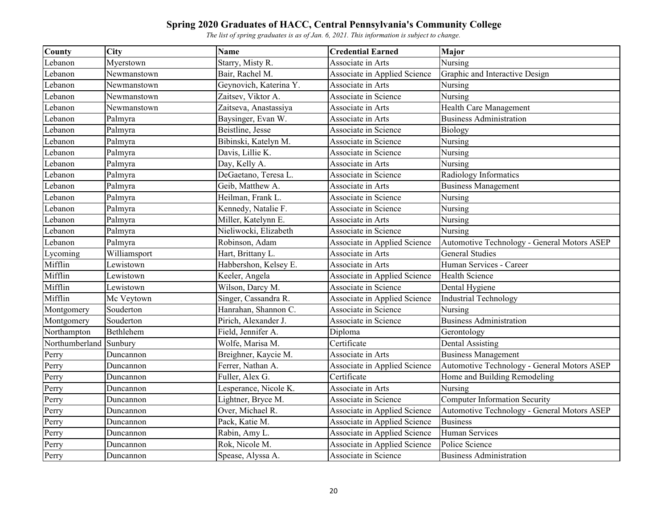| County         | <b>City</b>  | <b>Name</b>            | <b>Credential Earned</b>     | <b>Major</b>                                |
|----------------|--------------|------------------------|------------------------------|---------------------------------------------|
| Lebanon        | Myerstown    | Starry, Misty R.       | Associate in Arts            | Nursing                                     |
| Lebanon        | Newmanstown  | Bair, Rachel M.        | Associate in Applied Science | Graphic and Interactive Design              |
| Lebanon        | Newmanstown  | Geynovich, Katerina Y. | Associate in Arts            | Nursing                                     |
| Lebanon        | Newmanstown  | Zaitsev, Viktor A.     | Associate in Science         | Nursing                                     |
| Lebanon        | Newmanstown  | Zaitseva, Anastassiya  | Associate in Arts            | Health Care Management                      |
| Lebanon        | Palmyra      | Baysinger, Evan W.     | Associate in Arts            | <b>Business Administration</b>              |
| Lebanon        | Palmyra      | Beistline, Jesse       | Associate in Science         | Biology                                     |
| Lebanon        | Palmyra      | Bibinski, Katelyn M.   | Associate in Science         | Nursing                                     |
| Lebanon        | Palmyra      | Davis, Lillie K.       | Associate in Science         | Nursing                                     |
| Lebanon        | Palmyra      | Day, Kelly A.          | Associate in Arts            | Nursing                                     |
| Lebanon        | Palmyra      | DeGaetano, Teresa L.   | Associate in Science         | Radiology Informatics                       |
| Lebanon        | Palmyra      | Geib, Matthew A.       | Associate in Arts            | <b>Business Management</b>                  |
| Lebanon        | Palmyra      | Heilman, Frank L.      | Associate in Science         | Nursing                                     |
| Lebanon        | Palmyra      | Kennedy, Natalie F.    | Associate in Science         | Nursing                                     |
| Lebanon        | Palmyra      | Miller, Katelynn E.    | Associate in Arts            | Nursing                                     |
| Lebanon        | Palmyra      | Nieliwocki, Elizabeth  | Associate in Science         | Nursing                                     |
| Lebanon        | Palmyra      | Robinson, Adam         | Associate in Applied Science | Automotive Technology - General Motors ASEP |
| Lycoming       | Williamsport | Hart, Brittany L.      | Associate in Arts            | <b>General Studies</b>                      |
| Mifflin        | Lewistown    | Habbershon, Kelsey E.  | Associate in Arts            | Human Services - Career                     |
| Mifflin        | Lewistown    | Keeler, Angela         | Associate in Applied Science | <b>Health Science</b>                       |
| Mifflin        | Lewistown    | Wilson, Darcy M.       | Associate in Science         | Dental Hygiene                              |
| Mifflin        | Mc Veytown   | Singer, Cassandra R.   | Associate in Applied Science | <b>Industrial Technology</b>                |
| Montgomery     | Souderton    | Hanrahan, Shannon C.   | Associate in Science         | Nursing                                     |
| Montgomery     | Souderton    | Pirich, Alexander J.   | Associate in Science         | <b>Business Administration</b>              |
| Northampton    | Bethlehem    | Field, Jennifer A.     | Diploma                      | Gerontology                                 |
| Northumberland | Sunbury      | Wolfe, Marisa M.       | Certificate                  | <b>Dental Assisting</b>                     |
| Perry          | Duncannon    | Breighner, Kaycie M.   | Associate in Arts            | <b>Business Management</b>                  |
| Perry          | Duncannon    | Ferrer, Nathan A.      | Associate in Applied Science | Automotive Technology - General Motors ASEP |
| Perry          | Duncannon    | Fuller, Alex G.        | Certificate                  | Home and Building Remodeling                |
| Perry          | Duncannon    | Lesperance, Nicole K.  | Associate in Arts            | Nursing                                     |
| Perry          | Duncannon    | Lightner, Bryce M.     | Associate in Science         | <b>Computer Information Security</b>        |
| Perry          | Duncannon    | Over, Michael R.       | Associate in Applied Science | Automotive Technology - General Motors ASEP |
| Perry          | Duncannon    | Pack, Katie M.         | Associate in Applied Science | <b>Business</b>                             |
| Perry          | Duncannon    | Rabin, Amy L.          | Associate in Applied Science | Human Services                              |
| Perry          | Duncannon    | Rok, Nicole M.         | Associate in Applied Science | Police Science                              |
| Perry          | Duncannon    | Spease, Alyssa A.      | Associate in Science         | <b>Business Administration</b>              |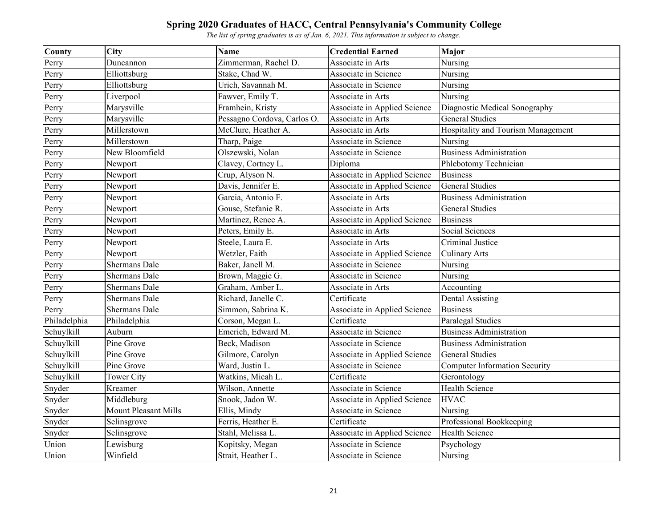| <b>County</b>              | <b>City</b>                 | <b>Name</b>                 | <b>Credential Earned</b>     | <b>Major</b>                         |
|----------------------------|-----------------------------|-----------------------------|------------------------------|--------------------------------------|
| Perry                      | Duncannon                   | Zimmerman, Rachel D.        | Associate in Arts            | Nursing                              |
| Perry                      | Elliottsburg                | Stake, Chad W.              | Associate in Science         | Nursing                              |
| Perry                      | Elliottsburg                | Urich, Savannah M.          | Associate in Science         | Nursing                              |
| Perry                      | Liverpool                   | Fawver, Emily T.            | Associate in Arts            | Nursing                              |
| Perry                      | Marysville                  | Framhein, Kristy            | Associate in Applied Science | Diagnostic Medical Sonography        |
| Perry                      | Marysville                  | Pessagno Cordova, Carlos O. | Associate in Arts            | <b>General Studies</b>               |
| Perry                      | Millerstown                 | McClure, Heather A.         | Associate in Arts            | Hospitality and Tourism Management   |
| Perry                      | Millerstown                 | Tharp, Paige                | Associate in Science         | Nursing                              |
| Perry                      | New Bloomfield              | Olszewski, Nolan            | Associate in Science         | <b>Business Administration</b>       |
| Perry                      | Newport                     | Clavey, Cortney L.          | Diploma                      | Phlebotomy Technician                |
| Perry                      | Newport                     | Crup, Alyson N.             | Associate in Applied Science | <b>Business</b>                      |
| Perry                      | Newport                     | Davis, Jennifer E.          | Associate in Applied Science | <b>General Studies</b>               |
| Perry                      | Newport                     | Garcia, Antonio F.          | Associate in Arts            | <b>Business Administration</b>       |
| Perry                      | Newport                     | Gouse, Stefanie R.          | Associate in Arts            | <b>General Studies</b>               |
| Perry                      | Newport                     | Martinez, Renee A.          | Associate in Applied Science | <b>Business</b>                      |
| Perry                      | Newport                     | Peters, Emily E.            | Associate in Arts            | Social Sciences                      |
| Perry                      | Newport                     | Steele, Laura E.            | Associate in Arts            | Criminal Justice                     |
| $\overline{\text{P}}$ erry | Newport                     | Wetzler, Faith              | Associate in Applied Science | <b>Culinary Arts</b>                 |
| $\overline{\text{P}}$ erry | <b>Shermans Dale</b>        | Baker, Janell M.            | Associate in Science         | Nursing                              |
| Perry                      | <b>Shermans Dale</b>        | Brown, Maggie G.            | Associate in Science         | Nursing                              |
| Perry                      | Shermans Dale               | Graham, Amber L.            | Associate in Arts            | Accounting                           |
| Perry                      | <b>Shermans Dale</b>        | Richard, Janelle C.         | Certificate                  | <b>Dental Assisting</b>              |
| Perry                      | Shermans Dale               | Simmon, Sabrina K.          | Associate in Applied Science | <b>Business</b>                      |
| Philadelphia               | Philadelphia                | Corson, Megan L.            | Certificate                  | Paralegal Studies                    |
| Schuylkill                 | Auburn                      | Emerich, Edward M.          | Associate in Science         | <b>Business Administration</b>       |
| Schuylkill                 | Pine Grove                  | Beck, Madison               | Associate in Science         | <b>Business Administration</b>       |
| Schuylkill                 | Pine Grove                  | Gilmore, Carolyn            | Associate in Applied Science | <b>General Studies</b>               |
| Schuylkill                 | Pine Grove                  | Ward, Justin L.             | Associate in Science         | <b>Computer Information Security</b> |
| Schuylkill                 | Tower City                  | Watkins, Micah L.           | Certificate                  | Gerontology                          |
| Snyder                     | Kreamer                     | Wilson, Annette             | Associate in Science         | <b>Health Science</b>                |
| Snyder                     | Middleburg                  | Snook, Jadon W.             | Associate in Applied Science | <b>HVAC</b>                          |
| Snyder                     | <b>Mount Pleasant Mills</b> | Ellis, Mindy                | Associate in Science         | Nursing                              |
| Snyder                     | Selinsgrove                 | Ferris, Heather E.          | Certificate                  | Professional Bookkeeping             |
| Snyder                     | Selinsgrove                 | Stahl, Melissa L.           | Associate in Applied Science | <b>Health Science</b>                |
| Union                      | Lewisburg                   | Kopitsky, Megan             | Associate in Science         | Psychology                           |
| Union                      | Winfield                    | Strait, Heather L.          | Associate in Science         | Nursing                              |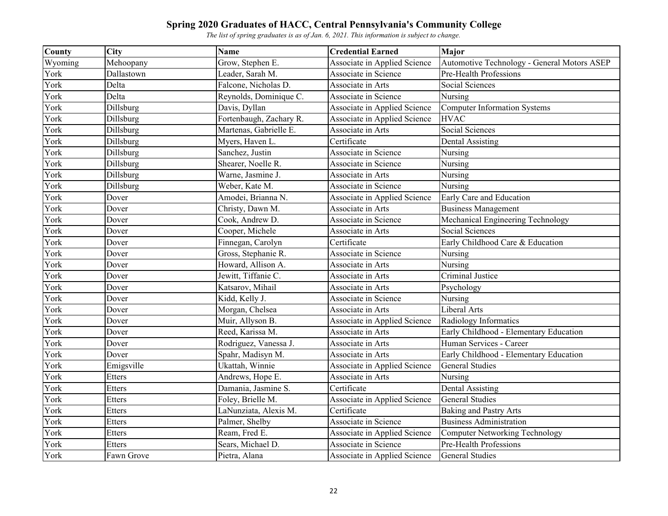| County  | <b>City</b>      | <b>Name</b>             | <b>Credential Earned</b>     | <b>Major</b>                                |
|---------|------------------|-------------------------|------------------------------|---------------------------------------------|
| Wyoming | Mehoopany        | Grow, Stephen E.        | Associate in Applied Science | Automotive Technology - General Motors ASEP |
| York    | Dallastown       | Leader, Sarah M.        | Associate in Science         | Pre-Health Professions                      |
| York    | Delta            | Falcone, Nicholas D.    | Associate in Arts            | <b>Social Sciences</b>                      |
| York    | Delta            | Reynolds, Dominique C.  | Associate in Science         | Nursing                                     |
| York    | Dillsburg        | Davis, Dyllan           | Associate in Applied Science | <b>Computer Information Systems</b>         |
| York    | Dillsburg        | Fortenbaugh, Zachary R. | Associate in Applied Science | <b>HVAC</b>                                 |
| York    | Dillsburg        | Martenas, Gabrielle E.  | Associate in Arts            | Social Sciences                             |
| York    | Dillsburg        | Myers, Haven L.         | Certificate                  | <b>Dental Assisting</b>                     |
| York    | Dillsburg        | Sanchez, Justin         | Associate in Science         | Nursing                                     |
| York    | Dillsburg        | Shearer, Noelle R.      | Associate in Science         | Nursing                                     |
| York    | Dillsburg        | Warne, Jasmine J.       | Associate in Arts            | Nursing                                     |
| York    | <b>Dillsburg</b> | Weber, Kate M.          | Associate in Science         | Nursing                                     |
| York    | Dover            | Amodei, Brianna N.      | Associate in Applied Science | Early Care and Education                    |
| York    | Dover            | Christy, Dawn M.        | Associate in Arts            | <b>Business Management</b>                  |
| York    | Dover            | Cook, Andrew D.         | Associate in Science         | Mechanical Engineering Technology           |
| York    | Dover            | Cooper, Michele         | Associate in Arts            | Social Sciences                             |
| York    | Dover            | Finnegan, Carolyn       | Certificate                  | Early Childhood Care & Education            |
| York    | Dover            | Gross, Stephanie R.     | Associate in Science         | Nursing                                     |
| York    | Dover            | Howard, Allison A.      | Associate in Arts            | Nursing                                     |
| York    | Dover            | Jewitt, Tiffanie C.     | Associate in Arts            | Criminal Justice                            |
| York    | Dover            | Katsarov, Mihail        | Associate in Arts            | Psychology                                  |
| York    | Dover            | Kidd, Kelly J.          | Associate in Science         | Nursing                                     |
| York    | Dover            | Morgan, Chelsea         | Associate in Arts            | Liberal Arts                                |
| York    | Dover            | Muir, Allyson B.        | Associate in Applied Science | Radiology Informatics                       |
| York    | Dover            | Reed, Karissa M.        | Associate in Arts            | Early Childhood - Elementary Education      |
| York    | Dover            | Rodriguez, Vanessa J.   | Associate in Arts            | Human Services - Career                     |
| York    | Dover            | Spahr, Madisyn M.       | Associate in Arts            | Early Childhood - Elementary Education      |
| York    | Emigsville       | Ukattah, Winnie         | Associate in Applied Science | <b>General Studies</b>                      |
| York    | Etters           | Andrews, Hope E.        | Associate in Arts            | Nursing                                     |
| York    | Etters           | Damania, Jasmine S.     | Certificate                  | <b>Dental Assisting</b>                     |
| York    | Etters           | Foley, Brielle M.       | Associate in Applied Science | <b>General Studies</b>                      |
| York    | Etters           | LaNunziata, Alexis M.   | Certificate                  | <b>Baking and Pastry Arts</b>               |
| York    | Etters           | Palmer, Shelby          | Associate in Science         | <b>Business Administration</b>              |
| York    | Etters           | Ream, Fred E.           | Associate in Applied Science | Computer Networking Technology              |
| York    | <b>Etters</b>    | Sears, Michael D.       | Associate in Science         | Pre-Health Professions                      |
| York    | Fawn Grove       | Pietra, Alana           | Associate in Applied Science | <b>General Studies</b>                      |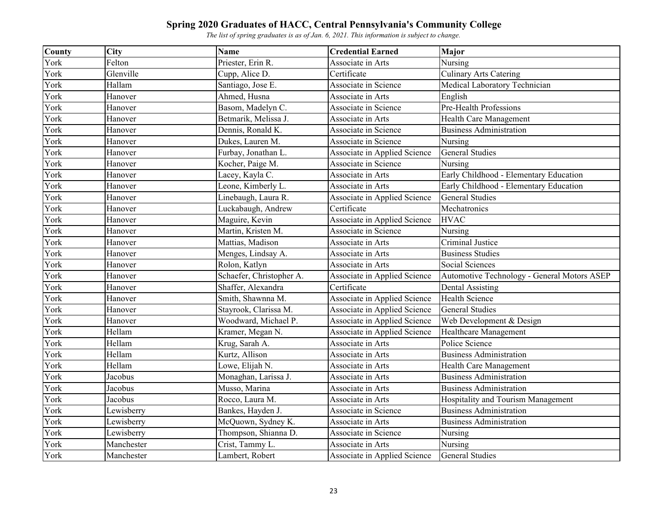| County | <b>City</b> | Name                     | <b>Credential Earned</b>     | <b>Major</b>                                |
|--------|-------------|--------------------------|------------------------------|---------------------------------------------|
| York   | Felton      | Priester, Erin R.        | Associate in Arts            | Nursing                                     |
| York   | Glenville   | Cupp, Alice D.           | Certificate                  | <b>Culinary Arts Catering</b>               |
| York   | Hallam      | Santiago, Jose E.        | Associate in Science         | Medical Laboratory Technician               |
| York   | Hanover     | Ahmed, Husna             | Associate in Arts            | English                                     |
| York   | Hanover     | Basom, Madelyn C.        | Associate in Science         | Pre-Health Professions                      |
| York   | Hanover     | Betmarik, Melissa J.     | Associate in Arts            | Health Care Management                      |
| York   | Hanover     | Dennis, Ronald K.        | Associate in Science         | <b>Business Administration</b>              |
| York   | Hanover     | Dukes, Lauren M.         | Associate in Science         | Nursing                                     |
| York   | Hanover     | Furbay, Jonathan L.      | Associate in Applied Science | <b>General Studies</b>                      |
| York   | Hanover     | Kocher, Paige M.         | Associate in Science         | Nursing                                     |
| York   | Hanover     | Lacey, Kayla C.          | Associate in Arts            | Early Childhood - Elementary Education      |
| York   | Hanover     | Leone, Kimberly L.       | Associate in Arts            | Early Childhood - Elementary Education      |
| York   | Hanover     | Linebaugh, Laura R.      | Associate in Applied Science | <b>General Studies</b>                      |
| York   | Hanover     | Luckabaugh, Andrew       | Certificate                  | Mechatronics                                |
| York   | Hanover     | Maguire, Kevin           | Associate in Applied Science | <b>HVAC</b>                                 |
| York   | Hanover     | Martin, Kristen M.       | Associate in Science         | Nursing                                     |
| York   | Hanover     | Mattias, Madison         | Associate in Arts            | <b>Criminal Justice</b>                     |
| York   | Hanover     | Menges, Lindsay A.       | Associate in Arts            | <b>Business Studies</b>                     |
| York   | Hanover     | Rolon, Katlyn            | Associate in Arts            | Social Sciences                             |
| York   | Hanover     | Schaefer, Christopher A. | Associate in Applied Science | Automotive Technology - General Motors ASEP |
| York   | Hanover     | Shaffer, Alexandra       | Certificate                  | <b>Dental Assisting</b>                     |
| York   | Hanover     | Smith, Shawnna M.        | Associate in Applied Science | <b>Health Science</b>                       |
| York   | Hanover     | Stayrook, Clarissa M.    | Associate in Applied Science | <b>General Studies</b>                      |
| York   | Hanover     | Woodward, Michael P.     | Associate in Applied Science | Web Development & Design                    |
| York   | Hellam      | Kramer, Megan N.         | Associate in Applied Science | Healthcare Management                       |
| York   | Hellam      | Krug, Sarah A.           | Associate in Arts            | Police Science                              |
| York   | Hellam      | Kurtz, Allison           | Associate in Arts            | <b>Business Administration</b>              |
| York   | Hellam      | Lowe, Elijah N.          | Associate in Arts            | Health Care Management                      |
| York   | Jacobus     | Monaghan, Larissa J.     | Associate in Arts            | <b>Business Administration</b>              |
| York   | Jacobus     | Musso, Marina            | Associate in Arts            | <b>Business Administration</b>              |
| York   | Jacobus     | Rocco, Laura M.          | Associate in Arts            | Hospitality and Tourism Management          |
| York   | Lewisberry  | Bankes, Hayden J.        | Associate in Science         | <b>Business Administration</b>              |
| York   | Lewisberry  | McQuown, Sydney K.       | Associate in Arts            | <b>Business Administration</b>              |
| York   | Lewisberry  | Thompson, Shianna D.     | Associate in Science         | Nursing                                     |
| York   | Manchester  | Crist, Tammy L.          | Associate in Arts            | Nursing                                     |
| York   | Manchester  | Lambert, Robert          | Associate in Applied Science | <b>General Studies</b>                      |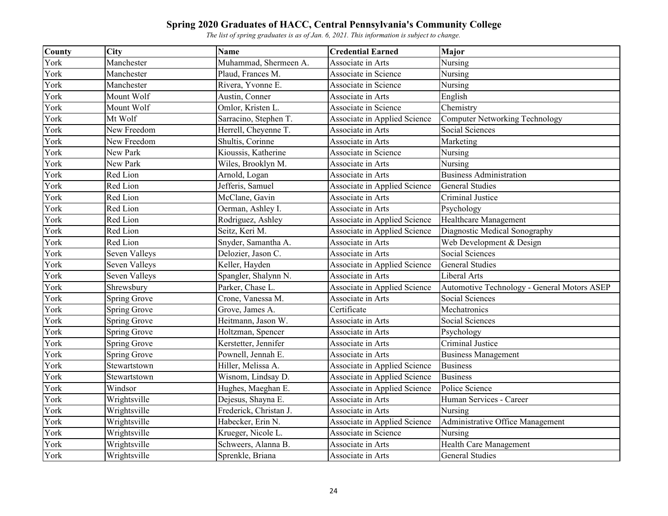| County | <b>City</b>          | <b>Name</b>            | <b>Credential Earned</b>     | <b>Major</b>                                |
|--------|----------------------|------------------------|------------------------------|---------------------------------------------|
| York   | Manchester           | Muhammad, Shermeen A.  | Associate in Arts            | Nursing                                     |
| York   | Manchester           | Plaud, Frances M.      | Associate in Science         | Nursing                                     |
| York   | Manchester           | Rivera, Yvonne E.      | Associate in Science         | Nursing                                     |
| York   | Mount Wolf           | Austin, Conner         | Associate in Arts            | English                                     |
| York   | Mount Wolf           | Omlor, Kristen L.      | Associate in Science         | Chemistry                                   |
| York   | Mt Wolf              | Sarracino, Stephen T.  | Associate in Applied Science | <b>Computer Networking Technology</b>       |
| York   | New Freedom          | Herrell, Cheyenne T.   | Associate in Arts            | Social Sciences                             |
| York   | New Freedom          | Shultis, Corinne       | Associate in Arts            | Marketing                                   |
| York   | New Park             | Kioussis, Katherine    | Associate in Science         | Nursing                                     |
| York   | New Park             | Wiles, Brooklyn M.     | Associate in Arts            | Nursing                                     |
| York   | Red Lion             | Arnold, Logan          | Associate in Arts            | <b>Business Administration</b>              |
| York   | Red Lion             | Jefferis, Samuel       | Associate in Applied Science | <b>General Studies</b>                      |
| York   | Red Lion             | McClane, Gavin         | Associate in Arts            | Criminal Justice                            |
| York   | Red Lion             | Oerman, Ashley I.      | Associate in Arts            | Psychology                                  |
| York   | Red Lion             | Rodriguez, Ashley      | Associate in Applied Science | <b>Healthcare Management</b>                |
| York   | Red Lion             | Seitz, Keri M.         | Associate in Applied Science | Diagnostic Medical Sonography               |
| York   | Red Lion             | Snyder, Samantha A.    | Associate in Arts            | Web Development & Design                    |
| York   | Seven Valleys        | Delozier, Jason C.     | Associate in Arts            | Social Sciences                             |
| York   | <b>Seven Valleys</b> | Keller, Hayden         | Associate in Applied Science | <b>General Studies</b>                      |
| York   | Seven Valleys        | Spangler, Shalynn N.   | Associate in Arts            | Liberal Arts                                |
| York   | Shrewsbury           | Parker, Chase L.       | Associate in Applied Science | Automotive Technology - General Motors ASEP |
| York   | Spring Grove         | Crone, Vanessa M.      | Associate in Arts            | Social Sciences                             |
| York   | Spring Grove         | Grove, James A.        | Certificate                  | Mechatronics                                |
| York   | Spring Grove         | Heitmann, Jason W.     | Associate in Arts            | <b>Social Sciences</b>                      |
| York   | Spring Grove         | Holtzman, Spencer      | Associate in Arts            | Psychology                                  |
| York   | Spring Grove         | Kerstetter, Jennifer   | Associate in Arts            | Criminal Justice                            |
| York   | Spring Grove         | Pownell, Jennah E.     | Associate in Arts            | <b>Business Management</b>                  |
| York   | Stewartstown         | Hiller, Melissa A.     | Associate in Applied Science | <b>Business</b>                             |
| York   | Stewartstown         | Wisnom, Lindsay D.     | Associate in Applied Science | <b>Business</b>                             |
| York   | Windsor              | Hughes, Maeghan E.     | Associate in Applied Science | Police Science                              |
| York   | Wrightsville         | Dejesus, Shayna E.     | Associate in Arts            | Human Services - Career                     |
| York   | Wrightsville         | Frederick, Christan J. | Associate in Arts            | Nursing                                     |
| York   | Wrightsville         | Habecker, Erin N.      | Associate in Applied Science | Administrative Office Management            |
| York   | Wrightsville         | Krueger, Nicole L.     | Associate in Science         | Nursing                                     |
| York   | Wrightsville         | Schweers, Alanna B.    | Associate in Arts            | Health Care Management                      |
| York   | Wrightsville         | Sprenkle, Briana       | Associate in Arts            | <b>General Studies</b>                      |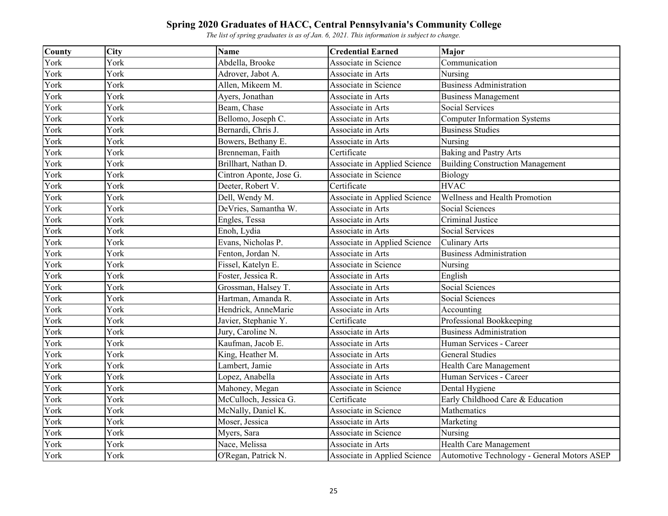| County | <b>City</b> | <b>Name</b>             | <b>Credential Earned</b>     | Major                                       |
|--------|-------------|-------------------------|------------------------------|---------------------------------------------|
| York   | York        | Abdella, Brooke         | Associate in Science         | Communication                               |
| York   | York        | Adrover, Jabot A.       | Associate in Arts            | Nursing                                     |
| York   | York        | Allen, Mikeem M.        | Associate in Science         | <b>Business Administration</b>              |
| York   | York        | Ayers, Jonathan         | Associate in Arts            | <b>Business Management</b>                  |
| York   | York        | Beam, Chase             | Associate in Arts            | Social Services                             |
| York   | York        | Bellomo, Joseph C.      | Associate in Arts            | <b>Computer Information Systems</b>         |
| York   | York        | Bernardi, Chris J.      | Associate in Arts            | <b>Business Studies</b>                     |
| York   | York        | Bowers, Bethany E.      | Associate in Arts            | Nursing                                     |
| York   | York        | Brenneman, Faith        | Certificate                  | <b>Baking and Pastry Arts</b>               |
| York   | York        | Brillhart, Nathan D.    | Associate in Applied Science | <b>Building Construction Management</b>     |
| York   | York        | Cintron Aponte, Jose G. | Associate in Science         | Biology                                     |
| York   | York        | Deeter, Robert V.       | Certificate                  | <b>HVAC</b>                                 |
| York   | York        | Dell, Wendy M.          | Associate in Applied Science | Wellness and Health Promotion               |
| York   | York        | DeVries, Samantha W.    | Associate in Arts            | Social Sciences                             |
| York   | York        | Engles, Tessa           | Associate in Arts            | Criminal Justice                            |
| York   | York        | Enoh, Lydia             | Associate in Arts            | Social Services                             |
| York   | York        | Evans, Nicholas P.      | Associate in Applied Science | <b>Culinary Arts</b>                        |
| York   | York        | Fenton, Jordan N.       | Associate in Arts            | <b>Business Administration</b>              |
| York   | York        | Fissel, Katelyn E.      | Associate in Science         | Nursing                                     |
| York   | York        | Foster, Jessica R.      | Associate in Arts            | English                                     |
| York   | York        | Grossman, Halsey T.     | Associate in Arts            | Social Sciences                             |
| York   | York        | Hartman, Amanda R.      | Associate in Arts            | Social Sciences                             |
| York   | York        | Hendrick, AnneMarie     | Associate in Arts            | Accounting                                  |
| York   | York        | Javier, Stephanie Y.    | Certificate                  | Professional Bookkeeping                    |
| York   | York        | Jury, Caroline N.       | Associate in Arts            | <b>Business Administration</b>              |
| York   | York        | Kaufman, Jacob E.       | Associate in Arts            | Human Services - Career                     |
| York   | York        | King, Heather M.        | Associate in Arts            | <b>General Studies</b>                      |
| York   | York        | Lambert, Jamie          | Associate in Arts            | Health Care Management                      |
| York   | York        | Lopez, Anabella         | Associate in Arts            | Human Services - Career                     |
| York   | York        | Mahoney, Megan          | Associate in Science         | Dental Hygiene                              |
| York   | York        | McCulloch, Jessica G.   | Certificate                  | Early Childhood Care & Education            |
| York   | York        | McNally, Daniel K.      | Associate in Science         | Mathematics                                 |
| York   | York        | Moser, Jessica          | Associate in Arts            | Marketing                                   |
| York   | York        | Myers, Sara             | Associate in Science         | Nursing                                     |
| York   | York        | Nace, Melissa           | Associate in Arts            | Health Care Management                      |
| York   | York        | O'Regan, Patrick N.     | Associate in Applied Science | Automotive Technology - General Motors ASEP |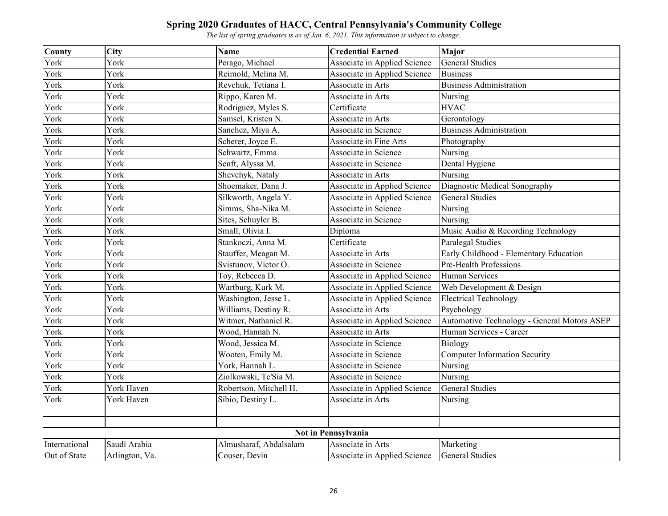| County              | City           | <b>Name</b>            | <b>Credential Earned</b>     | <b>Major</b>                                |  |  |  |
|---------------------|----------------|------------------------|------------------------------|---------------------------------------------|--|--|--|
| York                | York           | Perago, Michael        | Associate in Applied Science | <b>General Studies</b>                      |  |  |  |
| York                | York           | Reimold, Melina M.     | Associate in Applied Science | <b>Business</b>                             |  |  |  |
| York                | York           | Revchuk, Tetiana I.    | Associate in Arts            | <b>Business Administration</b>              |  |  |  |
| York                | York           | Rippo, Karen M.        | Associate in Arts            | Nursing                                     |  |  |  |
| York                | York           | Rodriguez, Myles S.    | Certificate                  | <b>HVAC</b>                                 |  |  |  |
| York                | York           | Samsel, Kristen N.     | Associate in Arts            | Gerontology                                 |  |  |  |
| York                | York           | Sanchez, Miya A.       | Associate in Science         | <b>Business Administration</b>              |  |  |  |
| York                | York           | Scherer, Joyce E.      | Associate in Fine Arts       | Photography                                 |  |  |  |
| York                | York           | Schwartz, Emma         | Associate in Science         | Nursing                                     |  |  |  |
| York                | York           | Senft, Alyssa M.       | Associate in Science         | Dental Hygiene                              |  |  |  |
| York                | York           | Shevchyk, Nataly       | Associate in Arts            | Nursing                                     |  |  |  |
| York                | York           | Shoemaker, Dana J.     | Associate in Applied Science | Diagnostic Medical Sonography               |  |  |  |
| York                | York           | Silkworth, Angela Y.   | Associate in Applied Science | <b>General Studies</b>                      |  |  |  |
| York                | York           | Simms, Sha-Nika M.     | Associate in Science         | Nursing                                     |  |  |  |
| York                | York           | Sites, Schuyler B.     | Associate in Science         | Nursing                                     |  |  |  |
| York                | York           | Small, Olivia I.       | Diploma                      | Music Audio & Recording Technology          |  |  |  |
| York                | York           | Stankoczi, Anna M.     | Certificate                  | Paralegal Studies                           |  |  |  |
| York                | York           | Stauffer, Meagan M.    | Associate in Arts            | Early Childhood - Elementary Education      |  |  |  |
| York                | York           | Svistunov, Victor O.   | Associate in Science         | Pre-Health Professions                      |  |  |  |
| York                | York           | Toy, Rebecca D.        | Associate in Applied Science | <b>Human Services</b>                       |  |  |  |
| York                | York           | Wartburg, Kurk M.      | Associate in Applied Science | Web Development & Design                    |  |  |  |
| York                | York           | Washington, Jesse L.   | Associate in Applied Science | <b>Electrical Technology</b>                |  |  |  |
| York                | York           | Williams, Destiny R.   | Associate in Arts            | Psychology                                  |  |  |  |
| York                | York           | Witmer, Nathaniel R.   | Associate in Applied Science | Automotive Technology - General Motors ASEP |  |  |  |
| York                | York           | Wood, Hannah N.        | Associate in Arts            | Human Services - Career                     |  |  |  |
| York                | York           | Wood, Jessica M.       | Associate in Science         | Biology                                     |  |  |  |
| York                | York           | Wooten, Emily M.       | Associate in Science         | <b>Computer Information Security</b>        |  |  |  |
| York                | York           | York, Hannah L.        | Associate in Science         | Nursing                                     |  |  |  |
| York                | York           | Ziolkowski, Te'Sia M.  | Associate in Science         | Nursing                                     |  |  |  |
| York                | York Haven     | Robertson, Mitchell H. | Associate in Applied Science | <b>General Studies</b>                      |  |  |  |
| York                | York Haven     | Sibio, Destiny L.      | Associate in Arts            | Nursing                                     |  |  |  |
|                     |                |                        |                              |                                             |  |  |  |
|                     |                |                        |                              |                                             |  |  |  |
| Not in Pennsylvania |                |                        |                              |                                             |  |  |  |
| International       | Saudi Arabia   | Almusharaf, Abdalsalam | Associate in Arts            | Marketing                                   |  |  |  |
| Out of State        | Arlington, Va. | Couser, Devin          | Associate in Applied Science | <b>General Studies</b>                      |  |  |  |